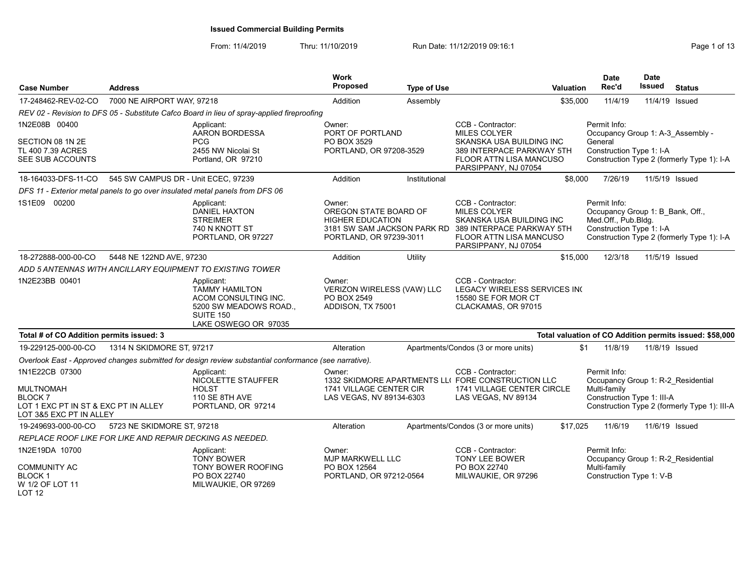From: 11/4/2019 Thru: 11/10/2019 Run Date: 11/12/2019 09:16:1

| <b>Case Number</b>                                                                                    | <b>Address</b>                      |                                                                                                                                   | <b>Work</b><br><b>Proposed</b>                                                        | <b>Type of Use</b> | <b>Valuation</b>                                                                                                                                                                        |              | <b>Date</b><br>Rec'd | <b>Date</b><br>Issued                                        | <b>Status</b>                                           |
|-------------------------------------------------------------------------------------------------------|-------------------------------------|-----------------------------------------------------------------------------------------------------------------------------------|---------------------------------------------------------------------------------------|--------------------|-----------------------------------------------------------------------------------------------------------------------------------------------------------------------------------------|--------------|----------------------|--------------------------------------------------------------|---------------------------------------------------------|
| 17-248462-REV-02-CO                                                                                   | 7000 NE AIRPORT WAY, 97218          |                                                                                                                                   | Addition                                                                              | Assembly           | \$35,000                                                                                                                                                                                |              | 11/4/19              | 11/4/19 Issued                                               |                                                         |
|                                                                                                       |                                     | REV 02 - Revision to DFS 05 - Substitute Cafco Board in lieu of spray-applied fireproofing                                        |                                                                                       |                    |                                                                                                                                                                                         |              |                      |                                                              |                                                         |
| 1N2E08B 00400                                                                                         |                                     | Applicant:<br>AARON BORDESSA                                                                                                      | Owner:<br>PORT OF PORTLAND                                                            |                    | CCB - Contractor:<br>MILES COLYER                                                                                                                                                       | Permit Info: |                      |                                                              | Occupancy Group 1: A-3 Assembly -                       |
| SECTION 08 1N 2E<br>TL 400 7.39 ACRES<br>SEE SUB ACCOUNTS                                             |                                     | <b>PCG</b><br>2455 NW Nicolai St<br>Portland, OR 97210                                                                            | PO BOX 3529<br>PORTLAND, OR 97208-3529                                                |                    | SKANSKA USA BUILDING INC<br>389 INTERPACE PARKWAY 5TH<br>FLOOR ATTN LISA MANCUSO<br>PARSIPPANY, NJ 07054                                                                                | General      |                      | Construction Type 1: I-A                                     | Construction Type 2 (formerly Type 1): I-A              |
| 18-164033-DFS-11-CO                                                                                   | 545 SW CAMPUS DR - Unit ECEC, 97239 |                                                                                                                                   | Addition                                                                              | Institutional      |                                                                                                                                                                                         | \$8,000      | 7/26/19              | 11/5/19 Issued                                               |                                                         |
|                                                                                                       |                                     | DFS 11 - Exterior metal panels to go over insulated metal panels from DFS 06                                                      |                                                                                       |                    |                                                                                                                                                                                         |              |                      |                                                              |                                                         |
| 1S1E09 00200                                                                                          |                                     | Applicant:<br><b>DANIEL HAXTON</b><br><b>STREIMER</b><br>740 N KNOTT ST<br>PORTLAND, OR 97227                                     | Owner:<br>OREGON STATE BOARD OF<br><b>HIGHER EDUCATION</b><br>PORTLAND, OR 97239-3011 |                    | CCB - Contractor:<br><b>MILES COLYER</b><br>SKANSKA USA BUILDING INC<br>3181 SW SAM JACKSON PARK RD 389 INTERPACE PARKWAY 5TH<br><b>FLOOR ATTN LISA MANCUSO</b><br>PARSIPPANY, NJ 07054 | Permit Info: | Med.Off., Pub.Bldg.  | Occupancy Group 1: B_Bank, Off.,<br>Construction Type 1: I-A | Construction Type 2 (formerly Type 1): I-A              |
| 18-272888-000-00-CO                                                                                   | 5448 NE 122ND AVE, 97230            |                                                                                                                                   | Addition                                                                              | Utility            | \$15,000                                                                                                                                                                                |              | 12/3/18              | 11/5/19 Issued                                               |                                                         |
|                                                                                                       |                                     | ADD 5 ANTENNAS WITH ANCILLARY EQUIPMENT TO EXISTING TOWER                                                                         |                                                                                       |                    |                                                                                                                                                                                         |              |                      |                                                              |                                                         |
| 1N2E23BB 00401                                                                                        |                                     | Applicant:<br><b>TAMMY HAMILTON</b><br>ACOM CONSULTING INC.<br>5200 SW MEADOWS ROAD.,<br><b>SUITE 150</b><br>LAKE OSWEGO OR 97035 | Owner:<br>VERIZON WIRELESS (VAW) LLC<br>PO BOX 2549<br>ADDISON, TX 75001              |                    | CCB - Contractor:<br>LEGACY WIRELESS SERVICES INC<br>15580 SE FOR MOR CT<br>CLACKAMAS, OR 97015                                                                                         |              |                      |                                                              |                                                         |
| Total # of CO Addition permits issued: 3                                                              |                                     |                                                                                                                                   |                                                                                       |                    |                                                                                                                                                                                         |              |                      |                                                              | Total valuation of CO Addition permits issued: \$58,000 |
| 19-229125-000-00-CO                                                                                   | 1314 N SKIDMORE ST, 97217           |                                                                                                                                   | Alteration                                                                            |                    | Apartments/Condos (3 or more units)                                                                                                                                                     | \$1          | 11/8/19              | 11/8/19 Issued                                               |                                                         |
|                                                                                                       |                                     | Overlook East - Approved changes submitted for design review substantial conformance (see narrative).                             |                                                                                       |                    |                                                                                                                                                                                         |              |                      |                                                              |                                                         |
| 1N1E22CB 07300                                                                                        |                                     | Applicant:<br>NICOLETTE STAUFFER                                                                                                  | Owner:                                                                                |                    | CCB - Contractor:<br>1332 SKIDMORE APARTMENTS LLI FORE CONSTRUCTION LLC                                                                                                                 | Permit Info: |                      |                                                              | Occupancy Group 1: R-2_Residential                      |
| <b>MULTNOMAH</b><br><b>BLOCK 7</b><br>LOT 1 EXC PT IN ST & EXC PT IN ALLEY<br>LOT 3&5 EXC PT IN ALLEY |                                     | <b>HOLST</b><br>110 SE 8TH AVE<br>PORTLAND, OR 97214                                                                              | 1741 VILLAGE CENTER CIR<br>LAS VEGAS, NV 89134-6303                                   |                    | 1741 VILLAGE CENTER CIRCLE<br>LAS VEGAS, NV 89134                                                                                                                                       | Multi-family |                      | Construction Type 1: III-A                                   | Construction Type 2 (formerly Type 1): III-A            |
| 19-249693-000-00-CO                                                                                   | 5723 NE SKIDMORE ST, 97218          |                                                                                                                                   | Alteration                                                                            |                    | Apartments/Condos (3 or more units)<br>\$17,025                                                                                                                                         |              | 11/6/19              | 11/6/19 Issued                                               |                                                         |
| REPLACE ROOF LIKE FOR LIKE AND REPAIR DECKING AS NEEDED.                                              |                                     |                                                                                                                                   |                                                                                       |                    |                                                                                                                                                                                         |              |                      |                                                              |                                                         |
| 1N2E19DA 10700                                                                                        |                                     | Applicant:<br><b>TONY BOWER</b>                                                                                                   | Owner:<br>MJP MARKWELL LLC                                                            |                    | CCB - Contractor:<br>TONY LEE BOWER                                                                                                                                                     | Permit Info: |                      |                                                              | Occupancy Group 1: R-2 Residential                      |
| COMMUNITY AC<br>BLOCK 1<br>W 1/2 OF LOT 11                                                            |                                     | <b>TONY BOWER ROOFING</b><br>PO BOX 22740<br>MILWAUKIE, OR 97269                                                                  | PO BOX 12564<br>PORTLAND, OR 97212-0564                                               |                    | PO BOX 22740<br>MILWAUKIE, OR 97296                                                                                                                                                     | Multi-family |                      | Construction Type 1: V-B                                     |                                                         |

LOT 12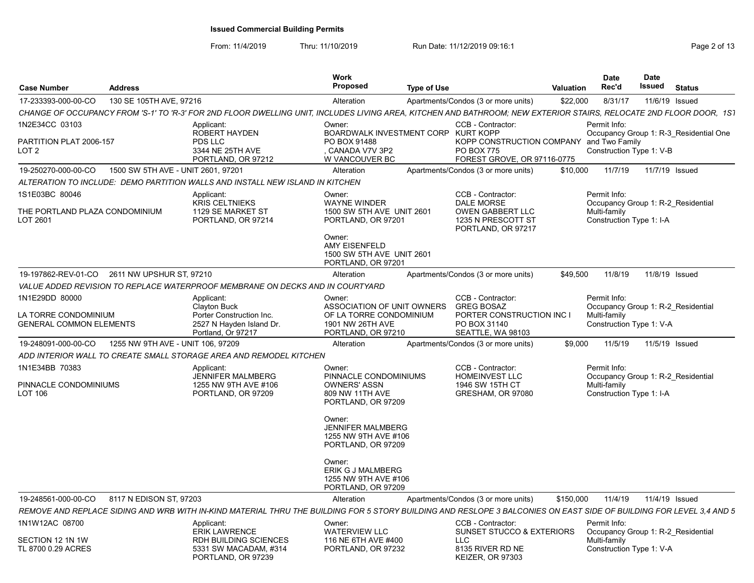| <b>Case Number</b>                                                       | <b>Address</b>                     |                                                                                                                                                                     | Work<br>Proposed                                                                                                               | <b>Type of Use</b> |                                                                                                          | <b>Valuation</b> | <b>Date</b><br>Rec'd                                                                           | <b>Date</b><br>Issued | <b>Status</b>                          |
|--------------------------------------------------------------------------|------------------------------------|---------------------------------------------------------------------------------------------------------------------------------------------------------------------|--------------------------------------------------------------------------------------------------------------------------------|--------------------|----------------------------------------------------------------------------------------------------------|------------------|------------------------------------------------------------------------------------------------|-----------------------|----------------------------------------|
| 17-233393-000-00-CO                                                      | 130 SE 105TH AVE, 97216            |                                                                                                                                                                     | Alteration                                                                                                                     |                    | Apartments/Condos (3 or more units)                                                                      | \$22,000         | 8/31/17                                                                                        | 11/6/19 Issued        |                                        |
|                                                                          |                                    | CHANGE OF OCCUPANCY FROM 'S-1' TO 'R-3' FOR 2ND FLOOR DWELLING UNIT, INCLUDES LIVING AREA, KITCHEN AND BATHROOM; NEW EXTERIOR STAIRS, RELOCATE 2ND FLOOR DOOR, 1S1  |                                                                                                                                |                    |                                                                                                          |                  |                                                                                                |                       |                                        |
| 1N2E34CC 03103<br>PARTITION PLAT 2006-157<br>LOT 2                       |                                    | Applicant:<br><b>ROBERT HAYDEN</b><br>PDS LLC<br>3344 NE 25TH AVE                                                                                                   | Owner:<br>BOARDWALK INVESTMENT CORP KURT KOPP<br>PO BOX 91488<br>CANADA V7V 3P2                                                |                    | CCB - Contractor:<br>KOPP CONSTRUCTION COMPANY and Two Family<br><b>PO BOX 775</b>                       |                  | Permit Info:<br>Construction Type 1: V-B                                                       |                       | Occupancy Group 1: R-3 Residential One |
|                                                                          |                                    | PORTLAND, OR 97212                                                                                                                                                  | W VANCOUVER BC                                                                                                                 |                    | FOREST GROVE, OR 97116-0775                                                                              |                  | 11/7/19                                                                                        |                       |                                        |
| 19-250270-000-00-CO                                                      | 1500 SW 5TH AVE - UNIT 2601, 97201 |                                                                                                                                                                     | Alteration                                                                                                                     |                    | Apartments/Condos (3 or more units)                                                                      | \$10,000         |                                                                                                | 11/7/19 Issued        |                                        |
| 1S1E03BC 80046                                                           |                                    | ALTERATION TO INCLUDE:  DEMO PARTITION WALLS AND INSTALL NEW ISLAND IN KITCHEN<br>Applicant:                                                                        | Owner:                                                                                                                         |                    | CCB - Contractor:                                                                                        |                  | Permit Info:                                                                                   |                       |                                        |
| THE PORTLAND PLAZA CONDOMINIUM<br>LOT 2601                               |                                    | <b>KRIS CELTNIEKS</b><br>1129 SE MARKET ST<br>PORTLAND, OR 97214                                                                                                    | <b>WAYNE WINDER</b><br>1500 SW 5TH AVE UNIT 2601<br>PORTLAND, OR 97201<br>Owner:<br>AMY EISENFELD<br>1500 SW 5TH AVE UNIT 2601 |                    | DALE MORSE<br>OWEN GABBERT LLC<br>1235 N PRESCOTT ST<br>PORTLAND, OR 97217                               |                  | Occupancy Group 1: R-2 Residential<br>Multi-family<br>Construction Type 1: I-A                 |                       |                                        |
| 19-197862-REV-01-CO 2611 NW UPSHUR ST, 97210                             |                                    |                                                                                                                                                                     | PORTLAND, OR 97201<br>Alteration                                                                                               |                    | Apartments/Condos (3 or more units)                                                                      | \$49,500         | 11/8/19                                                                                        |                       | 11/8/19 Issued                         |
|                                                                          |                                    | VALUE ADDED REVISION TO REPLACE WATERPROOF MEMBRANE ON DECKS AND IN COURTYARD                                                                                       |                                                                                                                                |                    |                                                                                                          |                  |                                                                                                |                       |                                        |
|                                                                          |                                    |                                                                                                                                                                     |                                                                                                                                |                    |                                                                                                          |                  | Permit Info:                                                                                   |                       |                                        |
| 1N1E29DD 80000<br>LA TORRE CONDOMINIUM<br><b>GENERAL COMMON ELEMENTS</b> |                                    | Applicant:<br>Clayton Buck<br>Porter Construction Inc.<br>2527 N Hayden Island Dr.<br>Portland. Or 97217                                                            | Owner:<br>ASSOCIATION OF UNIT OWNERS<br>OF LA TORRE CONDOMINIUM<br>1901 NW 26TH AVE<br>PORTLAND, OR 97210                      |                    | CCB - Contractor:<br><b>GREG BOSAZ</b><br>PORTER CONSTRUCTION INC I<br>PO BOX 31140<br>SEATTLE, WA 98103 |                  | Occupancy Group 1: R-2 Residential<br>Multi-family<br>Construction Type 1: V-A                 |                       |                                        |
| 19-248091-000-00-CO                                                      | 1255 NW 9TH AVE - UNIT 106, 97209  |                                                                                                                                                                     | Alteration                                                                                                                     |                    | Apartments/Condos (3 or more units)                                                                      | \$9,000          | 11/5/19                                                                                        |                       | 11/5/19 Issued                         |
|                                                                          |                                    | ADD INTERIOR WALL TO CREATE SMALL STORAGE AREA AND REMODEL KITCHEN                                                                                                  |                                                                                                                                |                    |                                                                                                          |                  |                                                                                                |                       |                                        |
| 1N1E34BB 70383<br>PINNACLE CONDOMINIUMS<br>LOT 106                       |                                    | Applicant:<br><b>JENNIFER MALMBERG</b><br>1255 NW 9TH AVE #106<br>PORTLAND, OR 97209                                                                                | Owner:<br>PINNACLE CONDOMINIUMS<br><b>OWNERS' ASSN</b><br>809 NW 11TH AVE<br>PORTLAND, OR 97209                                |                    | CCB - Contractor:<br>HOMEINVEST LLC<br>1946 SW 15TH CT<br>GRESHAM, OR 97080                              |                  | Permit Info:<br>Occupancy Group 1: R-2 Residential<br>Multi-family<br>Construction Type 1: I-A |                       |                                        |
|                                                                          |                                    |                                                                                                                                                                     | Owner:<br><b>JENNIFER MALMBERG</b><br>1255 NW 9TH AVE #106<br>PORTLAND, OR 97209                                               |                    |                                                                                                          |                  |                                                                                                |                       |                                        |
|                                                                          |                                    |                                                                                                                                                                     | Owner:<br><b>ERIK G J MALMBERG</b><br>1255 NW 9TH AVE #106<br>PORTLAND, OR 97209                                               |                    |                                                                                                          |                  |                                                                                                |                       |                                        |
| 19-248561-000-00-CO                                                      | 8117 N EDISON ST, 97203            |                                                                                                                                                                     | Alteration                                                                                                                     |                    | Apartments/Condos (3 or more units)                                                                      | \$150,000        | 11/4/19                                                                                        |                       | 11/4/19 Issued                         |
|                                                                          |                                    | REMOVE AND REPLACE SIDING AND WRB WITH IN-KIND MATERIAL THRU THE BUILDING FOR 5 STORY BUILDING AND RESLOPE 3 BALCONIES ON EAST SIDE OF BUILDING FOR LEVEL 3,4 AND 5 |                                                                                                                                |                    |                                                                                                          |                  |                                                                                                |                       |                                        |
| 1N1W12AC 08700                                                           |                                    | Applicant:                                                                                                                                                          | Owner:                                                                                                                         |                    | CCB - Contractor:                                                                                        |                  | Permit Info:                                                                                   |                       |                                        |
| SECTION 12 1N 1W<br>TL 8700 0.29 ACRES                                   |                                    | <b>ERIK LAWRENCE</b><br><b>RDH BUILDING SCIENCES</b><br>5331 SW MACADAM, #314<br>PORTLAND, OR 97239                                                                 | WATERVIEW LLC<br>116 NE 6TH AVE #400<br>PORTLAND, OR 97232                                                                     |                    | <b>SUNSET STUCCO &amp; EXTERIORS</b><br>LLC.<br>8135 RIVER RD NE<br><b>KEIZER, OR 97303</b>              |                  | Occupancy Group 1: R-2 Residential<br>Multi-family<br>Construction Type 1: V-A                 |                       |                                        |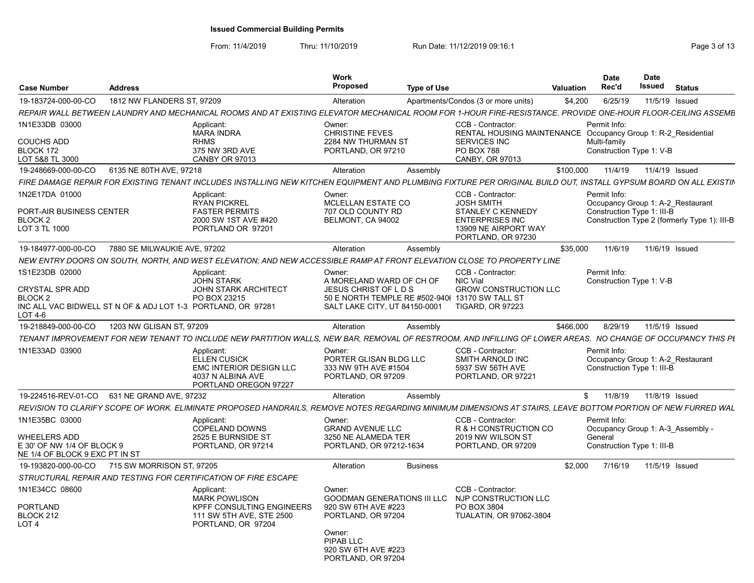|                                                                                                            | <b>Work</b>                                                                                                                                   |                                                                             |                                                                                                                                                                                                                                                                                                                                                                                                                                                  |                                                                                                                                                                            | <b>Date</b>                                                                                                                                                                                                                                         | <b>Date</b>                                                                                                                                  | <b>Status</b>                                                                                                                                                                                                                                                                                                                                                                                                                                                                                                                                                                                                                                                                                                                                                                                                                                                                                                                                                                                                                                                                                     |
|------------------------------------------------------------------------------------------------------------|-----------------------------------------------------------------------------------------------------------------------------------------------|-----------------------------------------------------------------------------|--------------------------------------------------------------------------------------------------------------------------------------------------------------------------------------------------------------------------------------------------------------------------------------------------------------------------------------------------------------------------------------------------------------------------------------------------|----------------------------------------------------------------------------------------------------------------------------------------------------------------------------|-----------------------------------------------------------------------------------------------------------------------------------------------------------------------------------------------------------------------------------------------------|----------------------------------------------------------------------------------------------------------------------------------------------|---------------------------------------------------------------------------------------------------------------------------------------------------------------------------------------------------------------------------------------------------------------------------------------------------------------------------------------------------------------------------------------------------------------------------------------------------------------------------------------------------------------------------------------------------------------------------------------------------------------------------------------------------------------------------------------------------------------------------------------------------------------------------------------------------------------------------------------------------------------------------------------------------------------------------------------------------------------------------------------------------------------------------------------------------------------------------------------------------|
|                                                                                                            |                                                                                                                                               |                                                                             |                                                                                                                                                                                                                                                                                                                                                                                                                                                  |                                                                                                                                                                            |                                                                                                                                                                                                                                                     |                                                                                                                                              |                                                                                                                                                                                                                                                                                                                                                                                                                                                                                                                                                                                                                                                                                                                                                                                                                                                                                                                                                                                                                                                                                                   |
|                                                                                                            |                                                                                                                                               |                                                                             |                                                                                                                                                                                                                                                                                                                                                                                                                                                  |                                                                                                                                                                            |                                                                                                                                                                                                                                                     |                                                                                                                                              |                                                                                                                                                                                                                                                                                                                                                                                                                                                                                                                                                                                                                                                                                                                                                                                                                                                                                                                                                                                                                                                                                                   |
| Applicant:<br><b>MARA INDRA</b><br><b>RHMS</b><br>375 NW 3RD AVE                                           | Owner:<br><b>CHRISTINE FEVES</b>                                                                                                              |                                                                             | CCB - Contractor:<br><b>SERVICES INC</b><br><b>PO BOX 788</b>                                                                                                                                                                                                                                                                                                                                                                                    |                                                                                                                                                                            |                                                                                                                                                                                                                                                     |                                                                                                                                              |                                                                                                                                                                                                                                                                                                                                                                                                                                                                                                                                                                                                                                                                                                                                                                                                                                                                                                                                                                                                                                                                                                   |
|                                                                                                            |                                                                                                                                               |                                                                             |                                                                                                                                                                                                                                                                                                                                                                                                                                                  |                                                                                                                                                                            |                                                                                                                                                                                                                                                     |                                                                                                                                              |                                                                                                                                                                                                                                                                                                                                                                                                                                                                                                                                                                                                                                                                                                                                                                                                                                                                                                                                                                                                                                                                                                   |
|                                                                                                            |                                                                                                                                               |                                                                             |                                                                                                                                                                                                                                                                                                                                                                                                                                                  |                                                                                                                                                                            |                                                                                                                                                                                                                                                     |                                                                                                                                              |                                                                                                                                                                                                                                                                                                                                                                                                                                                                                                                                                                                                                                                                                                                                                                                                                                                                                                                                                                                                                                                                                                   |
|                                                                                                            |                                                                                                                                               |                                                                             |                                                                                                                                                                                                                                                                                                                                                                                                                                                  |                                                                                                                                                                            |                                                                                                                                                                                                                                                     |                                                                                                                                              |                                                                                                                                                                                                                                                                                                                                                                                                                                                                                                                                                                                                                                                                                                                                                                                                                                                                                                                                                                                                                                                                                                   |
| <b>RYAN PICKREL</b><br><b>FASTER PERMITS</b><br>2000 SW 1ST AVE #420<br>PORTLAND OR 97201                  |                                                                                                                                               |                                                                             | <b>JOSH SMITH</b><br>STANLEY C KENNEDY<br><b>ENTERPRISES INC</b><br>13909 NE AIRPORT WAY                                                                                                                                                                                                                                                                                                                                                         |                                                                                                                                                                            |                                                                                                                                                                                                                                                     |                                                                                                                                              |                                                                                                                                                                                                                                                                                                                                                                                                                                                                                                                                                                                                                                                                                                                                                                                                                                                                                                                                                                                                                                                                                                   |
| 7880 SE MILWAUKIE AVE, 97202                                                                               | Alteration                                                                                                                                    | Assembly                                                                    |                                                                                                                                                                                                                                                                                                                                                                                                                                                  | \$35,000                                                                                                                                                                   | 11/6/19                                                                                                                                                                                                                                             |                                                                                                                                              | 11/6/19 Issued                                                                                                                                                                                                                                                                                                                                                                                                                                                                                                                                                                                                                                                                                                                                                                                                                                                                                                                                                                                                                                                                                    |
|                                                                                                            |                                                                                                                                               |                                                                             |                                                                                                                                                                                                                                                                                                                                                                                                                                                  |                                                                                                                                                                            |                                                                                                                                                                                                                                                     |                                                                                                                                              |                                                                                                                                                                                                                                                                                                                                                                                                                                                                                                                                                                                                                                                                                                                                                                                                                                                                                                                                                                                                                                                                                                   |
| Applicant:<br><b>JOHN STARK</b>                                                                            | Owner:                                                                                                                                        |                                                                             | CCB - Contractor:<br>NIC Vial                                                                                                                                                                                                                                                                                                                                                                                                                    |                                                                                                                                                                            |                                                                                                                                                                                                                                                     |                                                                                                                                              |                                                                                                                                                                                                                                                                                                                                                                                                                                                                                                                                                                                                                                                                                                                                                                                                                                                                                                                                                                                                                                                                                                   |
| PO BOX 23215<br>INC ALL VAC BIDWELL ST N OF & ADJ LOT 1-3 PORTLAND, OR 97281                               |                                                                                                                                               |                                                                             | <b>TIGARD, OR 97223</b>                                                                                                                                                                                                                                                                                                                                                                                                                          |                                                                                                                                                                            |                                                                                                                                                                                                                                                     |                                                                                                                                              |                                                                                                                                                                                                                                                                                                                                                                                                                                                                                                                                                                                                                                                                                                                                                                                                                                                                                                                                                                                                                                                                                                   |
| 1203 NW GLISAN ST, 97209                                                                                   | Alteration                                                                                                                                    | Assembly                                                                    |                                                                                                                                                                                                                                                                                                                                                                                                                                                  | \$466,000                                                                                                                                                                  | 8/29/19                                                                                                                                                                                                                                             | 11/5/19 Issued                                                                                                                               |                                                                                                                                                                                                                                                                                                                                                                                                                                                                                                                                                                                                                                                                                                                                                                                                                                                                                                                                                                                                                                                                                                   |
|                                                                                                            |                                                                                                                                               |                                                                             |                                                                                                                                                                                                                                                                                                                                                                                                                                                  |                                                                                                                                                                            |                                                                                                                                                                                                                                                     |                                                                                                                                              |                                                                                                                                                                                                                                                                                                                                                                                                                                                                                                                                                                                                                                                                                                                                                                                                                                                                                                                                                                                                                                                                                                   |
| Applicant:<br>ELLEN CUSICK<br><b>EMC INTERIOR DESIGN LLC</b><br>4037 N ALBINA AVE<br>PORTLAND OREGON 97227 | Owner:                                                                                                                                        |                                                                             | CCB - Contractor:<br>SMITH ARNOLD INC<br>5937 SW 56TH AVE<br>PORTLAND, OR 97221                                                                                                                                                                                                                                                                                                                                                                  |                                                                                                                                                                            |                                                                                                                                                                                                                                                     |                                                                                                                                              |                                                                                                                                                                                                                                                                                                                                                                                                                                                                                                                                                                                                                                                                                                                                                                                                                                                                                                                                                                                                                                                                                                   |
| 631 NE GRAND AVE, 97232                                                                                    | Alteration                                                                                                                                    | Assembly                                                                    |                                                                                                                                                                                                                                                                                                                                                                                                                                                  |                                                                                                                                                                            | 11/8/19                                                                                                                                                                                                                                             |                                                                                                                                              | 11/8/19 Issued                                                                                                                                                                                                                                                                                                                                                                                                                                                                                                                                                                                                                                                                                                                                                                                                                                                                                                                                                                                                                                                                                    |
|                                                                                                            |                                                                                                                                               |                                                                             |                                                                                                                                                                                                                                                                                                                                                                                                                                                  |                                                                                                                                                                            |                                                                                                                                                                                                                                                     |                                                                                                                                              |                                                                                                                                                                                                                                                                                                                                                                                                                                                                                                                                                                                                                                                                                                                                                                                                                                                                                                                                                                                                                                                                                                   |
| Applicant:<br>COPELAND DOWNS<br>2525 E BURNSIDE ST                                                         | Owner:                                                                                                                                        |                                                                             | CCB - Contractor:<br>2019 NW WILSON ST                                                                                                                                                                                                                                                                                                                                                                                                           |                                                                                                                                                                            |                                                                                                                                                                                                                                                     |                                                                                                                                              |                                                                                                                                                                                                                                                                                                                                                                                                                                                                                                                                                                                                                                                                                                                                                                                                                                                                                                                                                                                                                                                                                                   |
| PORTLAND, OR 97214<br>NE 1/4 OF BLOCK 9 EXC PT IN ST                                                       |                                                                                                                                               |                                                                             | PORTLAND, OR 97209                                                                                                                                                                                                                                                                                                                                                                                                                               |                                                                                                                                                                            |                                                                                                                                                                                                                                                     |                                                                                                                                              |                                                                                                                                                                                                                                                                                                                                                                                                                                                                                                                                                                                                                                                                                                                                                                                                                                                                                                                                                                                                                                                                                                   |
| 715 SW MORRISON ST. 97205                                                                                  | Alteration                                                                                                                                    | <b>Business</b>                                                             |                                                                                                                                                                                                                                                                                                                                                                                                                                                  | \$2.000                                                                                                                                                                    | 7/16/19                                                                                                                                                                                                                                             | 11/5/19 Issued                                                                                                                               |                                                                                                                                                                                                                                                                                                                                                                                                                                                                                                                                                                                                                                                                                                                                                                                                                                                                                                                                                                                                                                                                                                   |
| STRUCTURAL REPAIR AND TESTING FOR CERTIFICATION OF FIRE ESCAPE                                             |                                                                                                                                               |                                                                             |                                                                                                                                                                                                                                                                                                                                                                                                                                                  |                                                                                                                                                                            |                                                                                                                                                                                                                                                     |                                                                                                                                              |                                                                                                                                                                                                                                                                                                                                                                                                                                                                                                                                                                                                                                                                                                                                                                                                                                                                                                                                                                                                                                                                                                   |
| Applicant:<br><b>MARK POWLISON</b><br>111 SW 5TH AVE, STE 2500<br>PORTLAND, OR 97204                       | Owner:<br>Owner:<br>PIPAB LLC<br>920 SW 6TH AVE #223                                                                                          |                                                                             | CCB - Contractor:<br>PO BOX 3804<br><b>TUALATIN, OR 97062-3804</b>                                                                                                                                                                                                                                                                                                                                                                               |                                                                                                                                                                            |                                                                                                                                                                                                                                                     |                                                                                                                                              |                                                                                                                                                                                                                                                                                                                                                                                                                                                                                                                                                                                                                                                                                                                                                                                                                                                                                                                                                                                                                                                                                                   |
|                                                                                                            | <b>Address</b><br>1812 NW FLANDERS ST. 97209<br><b>CANBY OR 97013</b><br>6135 NE 80TH AVE, 97218<br>Applicant:<br><b>JOHN STARK ARCHITECT</b> | Proposed<br>Alteration<br>Alteration<br>Owner:<br>KPFF CONSULTING ENGINEERS | 2284 NW THURMAN ST<br>PORTLAND, OR 97210<br>Assembly<br>MCLELLAN ESTATE CO<br>707 OLD COUNTY RD<br>BELMONT, CA 94002<br>A MORELAND WARD OF CH OF<br>JESUS CHRIST OF LDS<br>SALT LAKE CITY, UT 84150-0001<br>PORTER GLISAN BLDG LLC<br>333 NW 9TH AVE #1504<br>PORTLAND, OR 97209<br><b>GRAND AVENUE LLC</b><br>3250 NE ALAMEDA TER<br>PORTLAND, OR 97212-1634<br><b>GOODMAN GENERATIONS III LLC</b><br>920 SW 6TH AVE #223<br>PORTLAND, OR 97204 | Type of Use<br>Apartments/Condos (3 or more units)<br><b>CANBY, OR 97013</b><br>CCB - Contractor:<br>PORTLAND, OR 97230<br>50 E NORTH TEMPLE RE #502-940( 13170 SW TALL ST | <b>Valuation</b><br>\$4,200<br>\$100,000<br>NEW ENTRY DOORS ON SOUTH. NORTH. AND WEST ELEVATION: AND NEW ACCESSIBLE RAMP AT FRONT ELEVATION CLOSE TO PROPERTY LINE<br><b>GROW CONSTRUCTION LLC</b><br>R & H CONSTRUCTION CO<br>NJP CONSTRUCTION LLC | Rec'd<br>6/25/19<br>Permit Info:<br>Multi-family<br>11/4/19<br>Permit Info:<br>Permit Info:<br>Permit Info:<br>S.<br>Permit Info:<br>General | Issued<br>11/5/19 Issued<br>REPAIR WALL BETWEEN LAUNDRY AND MECHANICAL ROOMS AND AT EXISTING ELEVATOR MECHANICAL ROOM FOR 1-HOUR FIRE-RESISTANCE. PROVIDE ONE-HOUR FLOOR-CEILING ASSEMB<br>RENTAL HOUSING MAINTENANCE Occupancy Group 1: R-2 Residential<br>Construction Type 1: V-B<br>11/4/19 Issued<br>FIRE DAMAGE REPAIR FOR EXISTING TENANT INCLUDES INSTALLING NEW KITCHEN EQUIPMENT AND PLUMBING FIXTURE PER ORIGINAL BUILD OUT. INSTALL GYPSUM BOARD ON ALL EXISTIN<br>Occupancy Group 1: A-2_Restaurant<br>Construction Type 1: III-B<br>Construction Type 2 (formerly Type 1): III-B<br>Construction Type 1: V-B<br>TENANT IMPROVEMENT FOR NEW TENANT TO INCLUDE NEW PARTITION WALLS, NEW BAR, REMOVAL OF RESTROOM, AND INFILLING OF LOWER AREAS.  NO CHANGE OF OCCUPANCY THIS PL<br>Occupancy Group 1: A-2_Restaurant<br>Construction Type 1: III-B<br>REVISION TO CLARIFY SCOPE OF WORK. ELIMINATE PROPOSED HANDRAILS, REMOVE NOTES REGARDING MINIMUM DIMENSIONS AT STAIRS, LEAVE BOTTOM PORTION OF NEW FURRED WAL<br>Occupancy Group 1: A-3_Assembly -<br>Construction Type 1: III-B |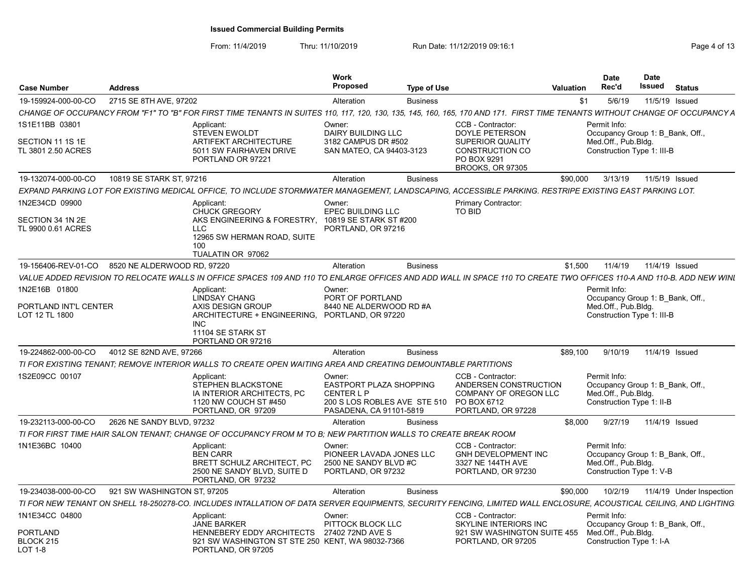| <b>Case Number</b>                                       | <b>Address</b>              |                                                                                                                                                                             | Work<br><b>Proposed</b>                                                                                                  | <b>Type of Use</b> |                                                                                                                             | Valuation | Date<br>Rec'd                                                     | <b>Date</b><br>Issued<br><b>Status</b> |  |
|----------------------------------------------------------|-----------------------------|-----------------------------------------------------------------------------------------------------------------------------------------------------------------------------|--------------------------------------------------------------------------------------------------------------------------|--------------------|-----------------------------------------------------------------------------------------------------------------------------|-----------|-------------------------------------------------------------------|----------------------------------------|--|
| 19-159924-000-00-CO                                      | 2715 SE 8TH AVE, 97202      |                                                                                                                                                                             | Alteration                                                                                                               | <b>Business</b>    |                                                                                                                             | \$1       | 5/6/19                                                            | 11/5/19 Issued                         |  |
|                                                          |                             | CHANGE OF OCCUPANCY FROM "F1" TO "B" FOR FIRST TIME TENANTS IN SUITES 110, 117, 120, 130, 135, 145, 160, 165, 170 AND 171. FIRST TIME TENANTS WITHOUT CHANGE OF OCCUPANCY A |                                                                                                                          |                    |                                                                                                                             |           |                                                                   |                                        |  |
| 1S1E11BB 03801<br>SECTION 11 1S 1E<br>TL 3801 2.50 ACRES |                             | Applicant:<br><b>STEVEN EWOLDT</b><br><b>ARTIFEKT ARCHITECTURE</b><br>5011 SW FAIRHAVEN DRIVE<br>PORTLAND OR 97221                                                          | Owner:<br>DAIRY BUILDING LLC<br>3182 CAMPUS DR #502<br>SAN MATEO, CA 94403-3123                                          |                    | CCB - Contractor:<br>DOYLE PETERSON<br><b>SUPERIOR QUALITY</b><br>CONSTRUCTION CO<br>PO BOX 9291<br><b>BROOKS, OR 97305</b> |           | Permit Info:<br>Med.Off., Pub.Bldg.<br>Construction Type 1: III-B | Occupancy Group 1: B_Bank, Off.,       |  |
| 19-132074-000-00-CO                                      | 10819 SE STARK ST, 97216    |                                                                                                                                                                             | Alteration                                                                                                               | <b>Business</b>    |                                                                                                                             | \$90,000  | 3/13/19                                                           | 11/5/19 Issued                         |  |
|                                                          |                             | EXPAND PARKING LOT FOR EXISTING MEDICAL OFFICE. TO INCLUDE STORMWATER MANAGEMENT. LANDSCAPING. ACCESSIBLE PARKING. RESTRIPE EXISTING EAST PARKING LOT.                      |                                                                                                                          |                    |                                                                                                                             |           |                                                                   |                                        |  |
| 1N2E34CD 09900<br>SECTION 34 1N 2E<br>TL 9900 0.61 ACRES |                             | Applicant:<br><b>CHUCK GREGORY</b><br>AKS ENGINEERING & FORESTRY, 10819 SE STARK ST #200<br>$\sqcup$ C<br>12965 SW HERMAN ROAD, SUITE<br>100<br>TUALATIN OR 97062           | Owner:<br>EPEC BUILDING LLC<br>PORTLAND, OR 97216                                                                        |                    | Primary Contractor:<br>TO BID                                                                                               |           |                                                                   |                                        |  |
| 19-156406-REV-01-CO                                      | 8520 NE ALDERWOOD RD, 97220 |                                                                                                                                                                             | Alteration                                                                                                               | <b>Business</b>    |                                                                                                                             | \$1,500   | 11/4/19                                                           | 11/4/19 Issued                         |  |
|                                                          |                             | VALUE ADDED REVISION TO RELOCATE WALLS IN OFFICE SPACES 109 AND 110 TO ENLARGE OFFICES AND ADD WALL IN SPACE 110 TO CREATE TWO OFFICES 110-A AND 110-B. ADD NEW WINL        |                                                                                                                          |                    |                                                                                                                             |           |                                                                   |                                        |  |
| 1N2E16B 01800<br>PORTLAND INT'L CENTER                   |                             | Applicant:<br><b>LINDSAY CHANG</b><br>AXIS DESIGN GROUP                                                                                                                     | Owner:<br>PORT OF PORTLAND<br>8440 NE ALDERWOOD RD #A                                                                    |                    |                                                                                                                             |           | Permit Info:<br>Med.Off., Pub.Bldg.                               | Occupancy Group 1: B Bank, Off.        |  |
| LOT 12 TL 1800                                           |                             | ARCHITECTURE + ENGINEERING, PORTLAND, OR 97220<br>INC.<br>11104 SE STARK ST<br>PORTLAND OR 97216                                                                            |                                                                                                                          |                    |                                                                                                                             |           | Construction Type 1: III-B                                        |                                        |  |
| 19-224862-000-00-CO                                      | 4012 SE 82ND AVE, 97266     |                                                                                                                                                                             | Alteration                                                                                                               | <b>Business</b>    |                                                                                                                             | \$89,100  | 9/10/19                                                           | 11/4/19 Issued                         |  |
|                                                          |                             | TI FOR EXISTING TENANT; REMOVE INTERIOR WALLS TO CREATE OPEN WAITING AREA AND CREATING DEMOUNTABLE PARTITIONS                                                               |                                                                                                                          |                    |                                                                                                                             |           |                                                                   |                                        |  |
| 1S2E09CC 00107                                           |                             | Applicant:<br>STEPHEN BLACKSTONE<br>IA INTERIOR ARCHITECTS, PC<br>1120 NW COUCH ST #450<br>PORTLAND, OR 97209                                                               | Owner:<br><b>EASTPORT PLAZA SHOPPING</b><br><b>CENTER L P</b><br>200 S LOS ROBLES AVE STE 510<br>PASADENA, CA 91101-5819 |                    | CCB - Contractor:<br>ANDERSEN CONSTRUCTION<br>COMPANY OF OREGON LLC<br>PO BOX 6712<br>PORTLAND, OR 97228                    |           | Permit Info:<br>Med.Off., Pub.Bldg.<br>Construction Type 1: II-B  | Occupancy Group 1: B_Bank, Off.,       |  |
| 19-232113-000-00-CO                                      | 2626 NE SANDY BLVD, 97232   |                                                                                                                                                                             | Alteration                                                                                                               | <b>Business</b>    |                                                                                                                             | \$8,000   | 9/27/19                                                           | 11/4/19 Issued                         |  |
|                                                          |                             | TI FOR FIRST TIME HAIR SALON TENANT; CHANGE OF OCCUPANCY FROM M TO B; NEW PARTITION WALLS TO CREATE BREAK ROOM                                                              |                                                                                                                          |                    |                                                                                                                             |           |                                                                   |                                        |  |
| 1N1E36BC 10400                                           |                             | Applicant:<br><b>BEN CARR</b><br><b>BRETT SCHULZ ARCHITECT, PC</b><br>2500 NE SANDY BLVD, SUITE D<br>PORTLAND, OR 97232                                                     | Owner:<br>PIONEER LAVADA JONES LLC<br>2500 NE SANDY BLVD #C<br>PORTLAND, OR 97232                                        |                    | CCB - Contractor:<br>GNH DEVELOPMENT INC<br>3327 NE 144TH AVE<br>PORTLAND, OR 97230                                         |           | Permit Info:<br>Med.Off., Pub.Bldg.<br>Construction Type 1: V-B   | Occupancy Group 1: B Bank, Off.        |  |
| 19-234038-000-00-CO                                      | 921 SW WASHINGTON ST, 97205 |                                                                                                                                                                             | Alteration                                                                                                               | <b>Business</b>    |                                                                                                                             | \$90,000  | 10/2/19                                                           | 11/4/19 Under Inspection               |  |
|                                                          |                             | TI FOR NEW TENANT ON SHELL 18-250278-CO. INCLUDES INTALLATION OF DATA SERVER EQUIPMENTS. SECURITY FENCING. LIMITED WALL ENCLOSURE. ACOUSTICAL CEILING. AND LIGHTING         |                                                                                                                          |                    |                                                                                                                             |           |                                                                   |                                        |  |
| 1N1E34CC 04800                                           |                             | Applicant:<br><b>JANE BARKER</b>                                                                                                                                            | Owner:<br>PITTOCK BLOCK LLC                                                                                              |                    | CCB - Contractor:<br><b>SKYLINE INTERIORS INC</b>                                                                           |           | Permit Info:                                                      | Occupancy Group 1: B Bank, Off.,       |  |
| PORTLAND<br>BLOCK 215<br>LOT 1-8                         |                             | HENNEBERY EDDY ARCHITECTS 27402 72ND AVE S<br>921 SW WASHINGTON ST STE 250 KENT, WA 98032-7366<br>PORTLAND, OR 97205                                                        |                                                                                                                          |                    | 921 SW WASHINGTON SUITE 455<br>PORTLAND, OR 97205                                                                           |           | Med.Off., Pub.Bldg.<br>Construction Type 1: I-A                   |                                        |  |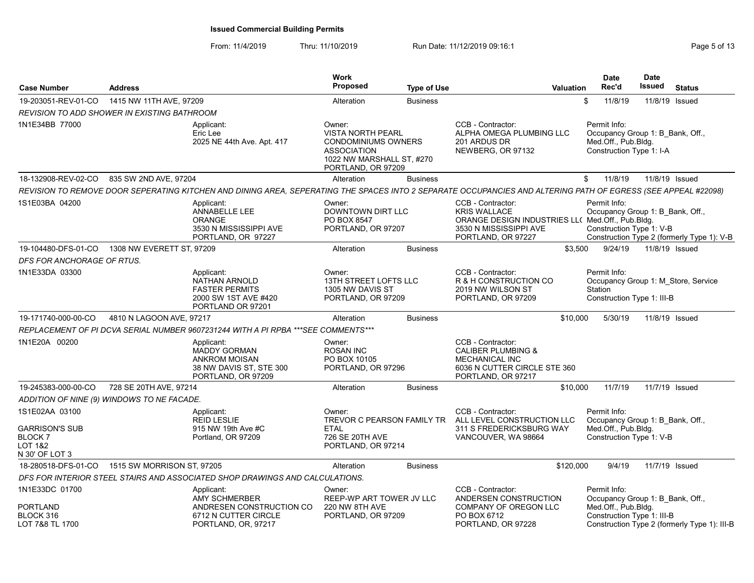| <b>Case Number</b>                                                             | <b>Address</b>             |                                                                                                                                                               | <b>Work</b><br><b>Proposed</b>                                                                                                            | <b>Type of Use</b> |                                                                                                                                              | <b>Valuation</b> | <b>Date</b><br>Rec'd                                                                                | <b>Date</b><br>Issued | <b>Status</b>                                |
|--------------------------------------------------------------------------------|----------------------------|---------------------------------------------------------------------------------------------------------------------------------------------------------------|-------------------------------------------------------------------------------------------------------------------------------------------|--------------------|----------------------------------------------------------------------------------------------------------------------------------------------|------------------|-----------------------------------------------------------------------------------------------------|-----------------------|----------------------------------------------|
| 19-203051-REV-01-CO                                                            | 1415 NW 11TH AVE, 97209    |                                                                                                                                                               | Alteration                                                                                                                                | <b>Business</b>    |                                                                                                                                              | \$               | 11/8/19                                                                                             | 11/8/19               | Issued                                       |
| REVISION TO ADD SHOWER IN EXISTING BATHROOM                                    |                            |                                                                                                                                                               |                                                                                                                                           |                    |                                                                                                                                              |                  |                                                                                                     |                       |                                              |
| 1N1E34BB 77000                                                                 |                            | Applicant:<br>Eric Lee<br>2025 NE 44th Ave. Apt. 417                                                                                                          | Owner:<br><b>VISTA NORTH PEARL</b><br><b>CONDOMINIUMS OWNERS</b><br><b>ASSOCIATION</b><br>1022 NW MARSHALL ST, #270<br>PORTLAND, OR 97209 |                    | CCB - Contractor:<br>ALPHA OMEGA PLUMBING LLC<br>201 ARDUS DR<br>NEWBERG, OR 97132                                                           |                  | Permit Info:<br>Occupancy Group 1: B Bank, Off.,<br>Med.Off., Pub.Bldg.<br>Construction Type 1: I-A |                       |                                              |
| 18-132908-REV-02-CO                                                            | 835 SW 2ND AVE, 97204      |                                                                                                                                                               | Alteration                                                                                                                                | <b>Business</b>    |                                                                                                                                              | \$               | 11/8/19                                                                                             |                       | 11/8/19 Issued                               |
|                                                                                |                            | REVISION TO REMOVE DOOR SEPERATING KITCHEN AND DINING AREA, SEPERATING THE SPACES INTO 2 SEPARATE OCCUPANCIES AND ALTERING PATH OF EGRESS (SEE APPEAL #22098) |                                                                                                                                           |                    |                                                                                                                                              |                  |                                                                                                     |                       |                                              |
| 1S1E03BA 04200                                                                 |                            | Applicant:<br>ANNABELLE LEE<br><b>ORANGE</b><br>3530 N MISSISSIPPI AVE<br>PORTLAND, OR 97227                                                                  | Owner:<br><b>DOWNTOWN DIRT LLC</b><br>PO BOX 8547<br>PORTLAND, OR 97207                                                                   |                    | CCB - Contractor:<br><b>KRIS WALLACE</b><br>ORANGE DESIGN INDUSTRIES LL( Med.Off., Pub.Bldg.<br>3530 N MISSISSIPPI AVE<br>PORTLAND, OR 97227 |                  | Permit Info:<br>Occupancy Group 1: B Bank, Off.,<br>Construction Type 1: V-B                        |                       | Construction Type 2 (formerly Type 1): V-B   |
| 19-104480-DFS-01-CO                                                            | 1308 NW EVERETT ST, 97209  |                                                                                                                                                               | Alteration                                                                                                                                | <b>Business</b>    |                                                                                                                                              | \$3,500          | 9/24/19                                                                                             | 11/8/19 Issued        |                                              |
| DFS FOR ANCHORAGE OF RTUS.                                                     |                            |                                                                                                                                                               |                                                                                                                                           |                    |                                                                                                                                              |                  |                                                                                                     |                       |                                              |
| 1N1E33DA 03300                                                                 |                            | Applicant:<br><b>NATHAN ARNOLD</b><br><b>FASTER PERMITS</b><br>2000 SW 1ST AVE #420<br>PORTLAND OR 97201                                                      | Owner:<br>13TH STREET LOFTS LLC<br>1305 NW DAVIS ST<br>PORTLAND, OR 97209                                                                 |                    | CCB - Contractor:<br>R & H CONSTRUCTION CO<br>2019 NW WILSON ST<br>PORTLAND, OR 97209                                                        |                  | Permit Info:<br>Station<br>Construction Type 1: III-B                                               |                       | Occupancy Group 1: M Store, Service          |
| 19-171740-000-00-CO                                                            | 4810 N LAGOON AVE, 97217   |                                                                                                                                                               | Alteration                                                                                                                                | <b>Business</b>    |                                                                                                                                              | \$10,000         | 5/30/19                                                                                             |                       | 11/8/19 Issued                               |
|                                                                                |                            | REPLACEMENT OF PI DCVA SERIAL NUMBER 9607231244 WITH A PI RPBA *** SEE COMMENTS ***                                                                           |                                                                                                                                           |                    |                                                                                                                                              |                  |                                                                                                     |                       |                                              |
| 1N1E20A 00200                                                                  |                            | Applicant:<br><b>MADDY GORMAN</b><br><b>ANKROM MOISAN</b><br>38 NW DAVIS ST, STE 300<br>PORTLAND, OR 97209                                                    | Owner:<br><b>ROSAN INC</b><br>PO BOX 10105<br>PORTLAND, OR 97296                                                                          |                    | CCB - Contractor:<br><b>CALIBER PLUMBING &amp;</b><br><b>MECHANICAL INC</b><br>6036 N CUTTER CIRCLE STE 360<br>PORTLAND, OR 97217            |                  |                                                                                                     |                       |                                              |
| 19-245383-000-00-CO                                                            | 728 SE 20TH AVE, 97214     |                                                                                                                                                               | Alteration                                                                                                                                | <b>Business</b>    |                                                                                                                                              | \$10,000         | 11/7/19                                                                                             |                       | 11/7/19 Issued                               |
| ADDITION OF NINE (9) WINDOWS TO NE FACADE.                                     |                            |                                                                                                                                                               |                                                                                                                                           |                    |                                                                                                                                              |                  |                                                                                                     |                       |                                              |
| 1S1E02AA 03100<br>GARRISON'S SUB<br><b>BLOCK7</b><br>LOT 1&2<br>N 30' OF LOT 3 |                            | Applicant:<br><b>REID LESLIE</b><br>915 NW 19th Ave #C<br>Portland, OR 97209                                                                                  | Owner:<br>TREVOR C PEARSON FAMILY TR<br><b>ETAL</b><br>726 SE 20TH AVE<br>PORTLAND, OR 97214                                              |                    | CCB - Contractor:<br>ALL LEVEL CONSTRUCTION LLC<br>311 S FREDERICKSBURG WAY<br>VANCOUVER, WA 98664                                           |                  | Permit Info:<br>Occupancy Group 1: B Bank, Off.,<br>Med.Off., Pub.Bldg.<br>Construction Type 1: V-B |                       |                                              |
| 18-280518-DFS-01-CO                                                            | 1515 SW MORRISON ST, 97205 |                                                                                                                                                               | Alteration                                                                                                                                | <b>Business</b>    |                                                                                                                                              | \$120,000        | 9/4/19                                                                                              |                       | 11/7/19 Issued                               |
|                                                                                |                            | DFS FOR INTERIOR STEEL STAIRS AND ASSOCIATED SHOP DRAWINGS AND CALCULATIONS.                                                                                  |                                                                                                                                           |                    |                                                                                                                                              |                  |                                                                                                     |                       |                                              |
| 1N1E33DC 01700                                                                 |                            | Applicant:<br><b>AMY SCHMERBER</b>                                                                                                                            | Owner:<br>REEP-WP ART TOWER JV LLC                                                                                                        |                    | CCB - Contractor:<br>ANDERSEN CONSTRUCTION                                                                                                   |                  | Permit Info:<br>Occupancy Group 1: B Bank, Off.,                                                    |                       |                                              |
| PORTLAND<br>BLOCK 316<br>LOT 7&8 TL 1700                                       |                            | ANDRESEN CONSTRUCTION CO<br>6712 N CUTTER CIRCLE<br>PORTLAND, OR, 97217                                                                                       | 220 NW 8TH AVE<br>PORTLAND, OR 97209                                                                                                      |                    | COMPANY OF OREGON LLC<br>PO BOX 6712<br>PORTLAND, OR 97228                                                                                   |                  | Med.Off., Pub.Bldg.<br>Construction Type 1: III-B                                                   |                       | Construction Type 2 (formerly Type 1): III-B |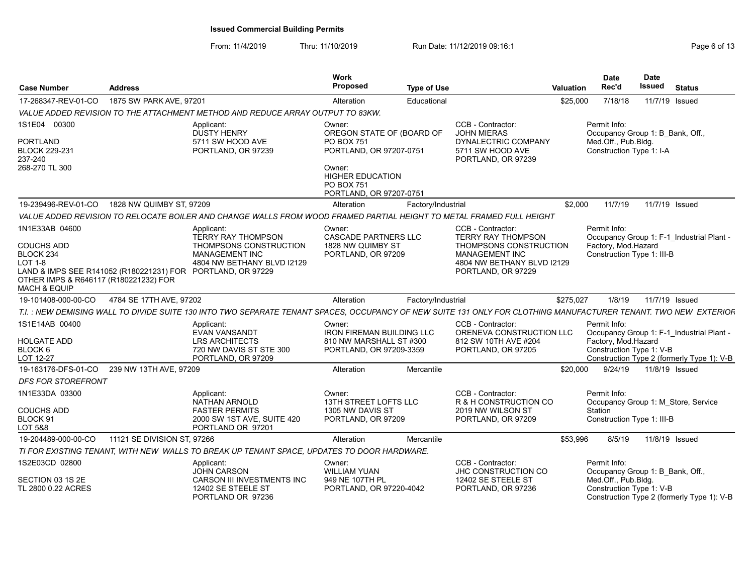| <b>Case Number</b>                                                                                                                                | <b>Address</b>              |                                                                                                                                                                  | Work<br>Proposed                                                                                 | <b>Type of Use</b> |                                                                                                          | <b>Valuation</b> | <b>Date</b><br>Rec'd                                                                                | <b>Date</b><br><b>Issued</b> | <b>Status</b>                                                                           |
|---------------------------------------------------------------------------------------------------------------------------------------------------|-----------------------------|------------------------------------------------------------------------------------------------------------------------------------------------------------------|--------------------------------------------------------------------------------------------------|--------------------|----------------------------------------------------------------------------------------------------------|------------------|-----------------------------------------------------------------------------------------------------|------------------------------|-----------------------------------------------------------------------------------------|
| 17-268347-REV-01-CO                                                                                                                               | 1875 SW PARK AVE, 97201     |                                                                                                                                                                  | Alteration                                                                                       | Educational        |                                                                                                          | \$25,000         | 7/18/18                                                                                             |                              | 11/7/19 Issued                                                                          |
|                                                                                                                                                   |                             | VALUE ADDED REVISION TO THE ATTACHMENT METHOD AND REDUCE ARRAY OUTPUT TO 83KW.                                                                                   |                                                                                                  |                    |                                                                                                          |                  |                                                                                                     |                              |                                                                                         |
| 1S1E04 00300<br><b>PORTLAND</b><br><b>BLOCK 229-231</b><br>237-240<br>268-270 TL 300                                                              |                             | Applicant:<br><b>DUSTY HENRY</b><br>5711 SW HOOD AVE<br>PORTLAND, OR 97239                                                                                       | Owner:<br>OREGON STATE OF (BOARD OF<br>PO BOX 751<br>PORTLAND, OR 97207-0751<br>Owner:           |                    | CCB - Contractor:<br><b>JOHN MIERAS</b><br>DYNALECTRIC COMPANY<br>5711 SW HOOD AVE<br>PORTLAND, OR 97239 |                  | Permit Info:<br>Occupancy Group 1: B Bank, Off.,<br>Med.Off., Pub.Bldg.<br>Construction Type 1: I-A |                              |                                                                                         |
|                                                                                                                                                   |                             |                                                                                                                                                                  | <b>HIGHER EDUCATION</b><br><b>PO BOX 751</b><br>PORTLAND, OR 97207-0751                          |                    |                                                                                                          |                  |                                                                                                     |                              |                                                                                         |
| 19-239496-REV-01-CO                                                                                                                               | 1828 NW QUIMBY ST, 97209    |                                                                                                                                                                  | Alteration                                                                                       | Factory/Industrial |                                                                                                          | \$2.000          | 11/7/19                                                                                             |                              | 11/7/19 Issued                                                                          |
|                                                                                                                                                   |                             | VALUE ADDED REVISION TO RELOCATE BOILER AND CHANGE WALLS FROM WOOD FRAMED PARTIAL HEIGHT TO METAL FRAMED FULL HEIGHT                                             |                                                                                                  |                    |                                                                                                          |                  |                                                                                                     |                              |                                                                                         |
| 1N1E33AB 04600<br><b>COUCHS ADD</b><br>BLOCK <sub>234</sub>                                                                                       |                             | Applicant:<br><b>TERRY RAY THOMPSON</b><br>THOMPSONS CONSTRUCTION<br><b>MANAGEMENT INC</b>                                                                       | Owner:<br><b>CASCADE PARTNERS LLC</b><br>1828 NW QUIMBY ST<br>PORTLAND, OR 97209                 |                    | CCB - Contractor:<br><b>TERRY RAY THOMPSON</b><br>THOMPSONS CONSTRUCTION<br><b>MANAGEMENT INC</b>        |                  | Permit Info:<br>Factory, Mod.Hazard<br>Construction Type 1: III-B                                   |                              | Occupancy Group 1: F-1 Industrial Plant -                                               |
| <b>LOT 1-8</b><br>LAND & IMPS SEE R141052 (R180221231) FOR PORTLAND, OR 97229<br>OTHER IMPS & R646117 (R180221232) FOR<br><b>MACH &amp; EQUIP</b> |                             | 4804 NW BETHANY BLVD I2129                                                                                                                                       |                                                                                                  |                    | 4804 NW BETHANY BLVD I2129<br>PORTLAND, OR 97229                                                         |                  |                                                                                                     |                              |                                                                                         |
| 19-101408-000-00-CO                                                                                                                               | 4784 SE 17TH AVE, 97202     |                                                                                                                                                                  | Alteration                                                                                       | Factory/Industrial |                                                                                                          | \$275,027        | 1/8/19                                                                                              |                              | 11/7/19 Issued                                                                          |
|                                                                                                                                                   |                             | T.I. : NEW DEMISING WALL TO DIVIDE SUITE 130 INTO TWO SEPARATE TENANT SPACES, OCCUPANCY OF NEW SUITE 131 ONLY FOR CLOTHING MANUFACTURER TENANT. TWO NEW EXTERIOF |                                                                                                  |                    |                                                                                                          |                  |                                                                                                     |                              |                                                                                         |
| 1S1E14AB 00400<br>HOLGATE ADD<br>BLOCK <sub>6</sub><br>LOT 12-27                                                                                  |                             | Applicant:<br><b>EVAN VANSANDT</b><br><b>LRS ARCHITECTS</b><br>720 NW DAVIS ST STE 300<br>PORTLAND, OR 97209                                                     | Owner:<br><b>IRON FIREMAN BUILDING LLC</b><br>810 NW MARSHALL ST #300<br>PORTLAND, OR 97209-3359 |                    | CCB - Contractor:<br>ORENEVA CONSTRUCTION LLC<br>812 SW 10TH AVE #204<br>PORTLAND, OR 97205              |                  | Permit Info:<br>Factory, Mod Hazard<br>Construction Type 1: V-B                                     |                              | Occupancy Group 1: F-1 Industrial Plant -<br>Construction Type 2 (formerly Type 1): V-B |
| 19-163176-DFS-01-CO                                                                                                                               | 239 NW 13TH AVE, 97209      |                                                                                                                                                                  | Alteration                                                                                       | Mercantile         |                                                                                                          | \$20,000         | 9/24/19                                                                                             | 11/8/19 Issued               |                                                                                         |
| <b>DFS FOR STOREFRONT</b>                                                                                                                         |                             |                                                                                                                                                                  |                                                                                                  |                    |                                                                                                          |                  |                                                                                                     |                              |                                                                                         |
| 1N1E33DA 03300                                                                                                                                    |                             | Applicant:<br><b>NATHAN ARNOLD</b>                                                                                                                               | Owner:<br>13TH STREET LOFTS LLC                                                                  |                    | CCB - Contractor:<br>R & H CONSTRUCTION CO                                                               |                  | Permit Info:<br>Occupancy Group 1: M Store, Service                                                 |                              |                                                                                         |
| <b>COUCHS ADD</b><br>BLOCK 91<br>LOT 5&8                                                                                                          |                             | <b>FASTER PERMITS</b><br>2000 SW 1ST AVE, SUITE 420<br>PORTLAND OR 97201                                                                                         | 1305 NW DAVIS ST<br>PORTLAND, OR 97209                                                           |                    | 2019 NW WILSON ST<br>PORTLAND, OR 97209                                                                  |                  | Station<br>Construction Type 1: III-B                                                               |                              |                                                                                         |
| 19-204489-000-00-CO                                                                                                                               | 11121 SE DIVISION ST. 97266 |                                                                                                                                                                  | Alteration                                                                                       | Mercantile         |                                                                                                          | \$53,996         | 8/5/19                                                                                              | 11/8/19 Issued               |                                                                                         |
|                                                                                                                                                   |                             | TI FOR EXISTING TENANT. WITH NEW WALLS TO BREAK UP TENANT SPACE. UPDATES TO DOOR HARDWARE.                                                                       |                                                                                                  |                    |                                                                                                          |                  |                                                                                                     |                              |                                                                                         |
| 1S2E03CD 02800                                                                                                                                    |                             | Applicant:<br><b>JOHN CARSON</b>                                                                                                                                 | Owner:<br><b>WILLIAM YUAN</b>                                                                    |                    | CCB - Contractor:<br>JHC CONSTRUCTION CO                                                                 |                  | Permit Info:<br>Occupancy Group 1: B Bank, Off.,                                                    |                              |                                                                                         |
| SECTION 03 1S 2E<br>TL 2800 0.22 ACRES                                                                                                            |                             | CARSON III INVESTMENTS INC<br>12402 SE STEELE ST<br>PORTLAND OR 97236                                                                                            | 949 NE 107TH PL<br>PORTLAND, OR 97220-4042                                                       |                    | 12402 SE STEELE ST<br>PORTLAND, OR 97236                                                                 |                  | Med.Off., Pub.Bldg.<br>Construction Type 1: V-B                                                     |                              | Construction Type 2 (formerly Type 1): V-B                                              |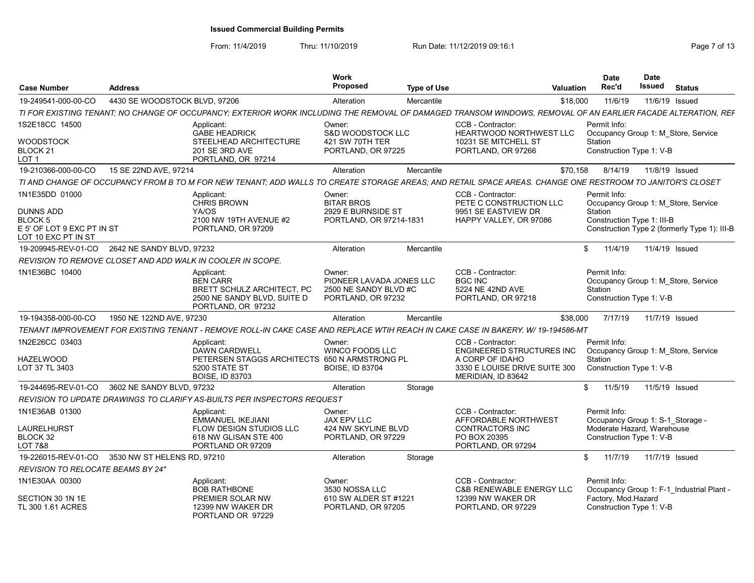| <b>Case Number</b>                                | <b>Address</b>                |                                                                                                                                                              | Work<br><b>Proposed</b>                                                           | <b>Type of Use</b> |                                                                                               | Valuation | <b>Date</b><br>Rec'd                                                                         | <b>Date</b><br>Issued | <b>Status</b> |  |
|---------------------------------------------------|-------------------------------|--------------------------------------------------------------------------------------------------------------------------------------------------------------|-----------------------------------------------------------------------------------|--------------------|-----------------------------------------------------------------------------------------------|-----------|----------------------------------------------------------------------------------------------|-----------------------|---------------|--|
| 19-249541-000-00-CO                               | 4430 SE WOODSTOCK BLVD, 97206 |                                                                                                                                                              | Alteration                                                                        | Mercantile         |                                                                                               | \$18,000  | 11/6/19                                                                                      | 11/6/19 Issued        |               |  |
|                                                   |                               | TI FOR EXISTING TENANT; NO CHANGE OF OCCUPANCY; EXTERIOR WORK INCLUDING THE REMOVAL OF DAMAGED TRANSOM WINDOWS, REMOVAL OF AN EARLIER FACADE ALTERATION, REF |                                                                                   |                    |                                                                                               |           |                                                                                              |                       |               |  |
| 1S2E18CC 14500                                    |                               | Applicant:<br><b>GABE HEADRICK</b>                                                                                                                           | Owner:<br><b>S&amp;D WOODSTOCK LLC</b>                                            |                    | CCB - Contractor:<br><b>HEARTWOOD NORTHWEST LLC</b>                                           |           | Permit Info:<br>Occupancy Group 1: M Store, Service                                          |                       |               |  |
| <b>WOODSTOCK</b><br>BLOCK 21<br>LOT <sub>1</sub>  |                               | STEELHEAD ARCHITECTURE<br>201 SE 3RD AVE<br>PORTLAND, OR 97214                                                                                               | 421 SW 70TH TER<br>PORTLAND, OR 97225                                             |                    | 10231 SE MITCHELL ST<br>PORTLAND, OR 97266                                                    |           | Station<br>Construction Type 1: V-B                                                          |                       |               |  |
| 19-210366-000-00-CO                               | 15 SE 22ND AVE, 97214         |                                                                                                                                                              | Alteration                                                                        | Mercantile         |                                                                                               | \$70,158  | 8/14/19                                                                                      | 11/8/19 Issued        |               |  |
|                                                   |                               | TI AND CHANGE OF OCCUPANCY FROM B TO M FOR NEW TENANT; ADD WALLS TO CREATE STORAGE AREAS; AND RETAIL SPACE AREAS. CHANGE ONE RESTROOM TO JANITOR'S CLOSET    |                                                                                   |                    |                                                                                               |           |                                                                                              |                       |               |  |
| 1N1E35DD 01000<br><b>DUNNS ADD</b><br>BLOCK 5     |                               | Applicant:<br><b>CHRIS BROWN</b><br>YA/OS<br>2100 NW 19TH AVENUE #2                                                                                          | Owner:<br><b>BITAR BROS</b><br>2929 E BURNSIDE ST<br>PORTLAND, OR 97214-1831      |                    | CCB - Contractor:<br>PETE C CONSTRUCTION LLC<br>9951 SE EASTVIEW DR<br>HAPPY VALLEY, OR 97086 |           | Permit Info:<br>Occupancy Group 1: M Store, Service<br>Station<br>Construction Type 1: III-B |                       |               |  |
| E 5' OF LOT 9 EXC PT IN ST<br>LOT 10 EXC PT IN ST |                               | PORTLAND, OR 97209                                                                                                                                           |                                                                                   |                    |                                                                                               |           | Construction Type 2 (formerly Type 1): III-B                                                 |                       |               |  |
| 19-209945-REV-01-CO 2642 NE SANDY BLVD, 97232     |                               |                                                                                                                                                              | Alteration                                                                        | Mercantile         |                                                                                               | S.        | 11/4/19                                                                                      | 11/4/19 Issued        |               |  |
|                                                   |                               | REVISION TO REMOVE CLOSET AND ADD WALK IN COOLER IN SCOPE.                                                                                                   |                                                                                   |                    |                                                                                               |           |                                                                                              |                       |               |  |
| 1N1E36BC 10400                                    |                               | Applicant:<br><b>BEN CARR</b><br>BRETT SCHULZ ARCHITECT, PC<br>2500 NE SANDY BLVD, SUITE D<br>PORTLAND, OR 97232                                             | Owner:<br>PIONEER LAVADA JONES LLC<br>2500 NE SANDY BLVD #C<br>PORTLAND, OR 97232 |                    | CCB - Contractor:<br><b>BGC INC</b><br>5224 NE 42ND AVE<br>PORTLAND, OR 97218                 |           | Permit Info:<br>Occupancy Group 1: M Store, Service<br>Station<br>Construction Type 1: V-B   |                       |               |  |
| 19-194358-000-00-CO                               | 1950 NE 122ND AVE, 97230      |                                                                                                                                                              | Alteration                                                                        | Mercantile         |                                                                                               | \$38,000  | 7/17/19                                                                                      | 11/7/19 Issued        |               |  |
|                                                   |                               | TENANT IMPROVEMENT FOR EXISTING TENANT - REMOVE ROLL-IN CAKE CASE AND REPLACE WTIH REACH IN CAKE CASE IN BAKERY. W/ 19-194586-MT                             |                                                                                   |                    |                                                                                               |           |                                                                                              |                       |               |  |
| 1N2E26CC 03403                                    |                               | Applicant<br><b>DAWN CARDWELL</b>                                                                                                                            | Owner:<br>WINCO FOODS LLC                                                         |                    | CCB - Contractor:<br><b>ENGINEERED STRUCTURES INC</b>                                         |           | Permit Info:<br>Occupancy Group 1: M Store, Service                                          |                       |               |  |
| <b>HAZELWOOD</b><br>LOT 37 TL 3403                |                               | PETERSEN STAGGS ARCHITECTS 650 N ARMSTRONG PL<br>5200 STATE ST<br><b>BOISE, ID 83703</b>                                                                     | <b>BOISE, ID 83704</b>                                                            |                    | A CORP OF IDAHO<br>3330 E LOUISE DRIVE SUITE 300<br>MERIDIAN. ID 83642                        |           | Station<br>Construction Type 1: V-B                                                          |                       |               |  |
| 19-244695-REV-01-CO                               | 3602 NE SANDY BLVD, 97232     |                                                                                                                                                              | Alteration                                                                        | Storage            |                                                                                               |           | \$ 11/5/19                                                                                   | 11/5/19 Issued        |               |  |
|                                                   |                               | REVISION TO UPDATE DRAWINGS TO CLARIFY AS-BUILTS PER INSPECTORS REQUEST                                                                                      |                                                                                   |                    |                                                                                               |           |                                                                                              |                       |               |  |
| 1N1E36AB 01300                                    |                               | Applicant:<br>EMMANUEL IKEJIANI                                                                                                                              | Owner:<br>JAX EPV LLC                                                             |                    | CCB - Contractor:<br>AFFORDABLE NORTHWEST                                                     |           | Permit Info:<br>Occupancy Group 1: S-1 Storage -                                             |                       |               |  |
| LAURELHURST<br>BLOCK 32<br><b>LOT 7&amp;8</b>     |                               | <b>FLOW DESIGN STUDIOS LLC</b><br>618 NW GLISAN STE 400<br>PORTLAND OR 97209                                                                                 | 424 NW SKYLINE BLVD<br>PORTLAND, OR 97229                                         |                    | <b>CONTRACTORS INC</b><br>PO BOX 20395<br>PORTLAND, OR 97294                                  |           | Moderate Hazard, Warehouse<br>Construction Type 1: V-B                                       |                       |               |  |
| 19-226015-REV-01-CO                               | 3530 NW ST HELENS RD, 97210   |                                                                                                                                                              | Alteration                                                                        | Storage            |                                                                                               | \$        | 11/7/19                                                                                      | 11/7/19 Issued        |               |  |
| <b>REVISION TO RELOCATE BEAMS BY 24"</b>          |                               |                                                                                                                                                              |                                                                                   |                    |                                                                                               |           |                                                                                              |                       |               |  |
| 1N1E30AA 00300                                    |                               | Applicant:<br><b>BOB RATHBONE</b>                                                                                                                            | Owner:<br>3530 NOSSA LLC                                                          |                    | CCB - Contractor:<br><b>C&amp;B RENEWABLE ENERGY LLC</b>                                      |           | Permit Info:<br>Occupancy Group 1: F-1 Industrial Plant -                                    |                       |               |  |
| SECTION 30 1N 1E<br>TL 300 1.61 ACRES             |                               | <b>PREMIER SOLAR NW</b><br>12399 NW WAKER DR<br>PORTLAND OR 97229                                                                                            | 610 SW ALDER ST #1221<br>PORTLAND, OR 97205                                       |                    | 12399 NW WAKER DR<br>PORTLAND, OR 97229                                                       |           | Factory, Mod Hazard<br>Construction Type 1: V-B                                              |                       |               |  |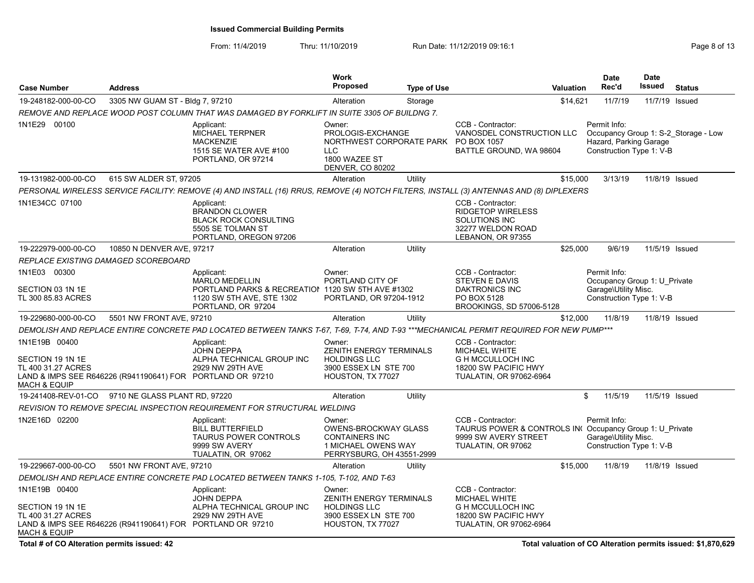| <b>Case Number</b>                                                                                                                    | <b>Address</b>                  |                                                                                                                                             | Work<br><b>Proposed</b>                                                                                                       | <b>Type of Use</b> |                                                                                                                            | Valuation | <b>Date</b><br>Rec'd                                                                             | <b>Date</b><br>Issued | <b>Status</b>                        |
|---------------------------------------------------------------------------------------------------------------------------------------|---------------------------------|---------------------------------------------------------------------------------------------------------------------------------------------|-------------------------------------------------------------------------------------------------------------------------------|--------------------|----------------------------------------------------------------------------------------------------------------------------|-----------|--------------------------------------------------------------------------------------------------|-----------------------|--------------------------------------|
| 19-248182-000-00-CO                                                                                                                   | 3305 NW GUAM ST - Bldg 7, 97210 |                                                                                                                                             | Alteration                                                                                                                    | Storage            |                                                                                                                            | \$14,621  | 11/7/19                                                                                          | 11/7/19               | Issued                               |
|                                                                                                                                       |                                 | REMOVE AND REPLACE WOOD POST COLUMN THAT WAS DAMAGED BY FORKLIFT IN SUITE 3305 OF BUILDNG 7.                                                |                                                                                                                               |                    |                                                                                                                            |           |                                                                                                  |                       |                                      |
| 1N1E29 00100                                                                                                                          |                                 | Applicant:<br><b>MICHAEL TERPNER</b><br><b>MACKENZIE</b><br>1515 SE WATER AVE #100<br>PORTLAND, OR 97214                                    | Owner:<br>PROLOGIS-EXCHANGE<br>NORTHWEST CORPORATE PARK PO BOX 1057<br><b>LLC</b><br>1800 WAZEE ST<br><b>DENVER, CO 80202</b> |                    | CCB - Contractor:<br>VANOSDEL CONSTRUCTION LLC<br>BATTLE GROUND, WA 98604                                                  |           | Permit Info:<br>Hazard, Parking Garage<br>Construction Type 1: V-B                               |                       | Occupancy Group 1: S-2 Storage - Low |
| 19-131982-000-00-CO                                                                                                                   | 615 SW ALDER ST, 97205          |                                                                                                                                             | Alteration                                                                                                                    | Utility            |                                                                                                                            | \$15,000  | 3/13/19                                                                                          |                       | 11/8/19 Issued                       |
|                                                                                                                                       |                                 | PERSONAL WIRELESS SERVICE FACILITY: REMOVE (4) AND INSTALL (16) RRUS, REMOVE (4) NOTCH FILTERS, INSTALL (3) ANTENNAS AND (8) DIPLEXERS      |                                                                                                                               |                    |                                                                                                                            |           |                                                                                                  |                       |                                      |
| 1N1E34CC 07100                                                                                                                        |                                 | Applicant:<br><b>BRANDON CLOWER</b><br><b>BLACK ROCK CONSULTING</b><br>5505 SE TOLMAN ST<br>PORTLAND, OREGON 97206                          |                                                                                                                               |                    | CCB - Contractor:<br><b>RIDGETOP WIRELESS</b><br>SOLUTIONS INC<br>32277 WELDON ROAD<br>LEBANON, OR 97355                   |           |                                                                                                  |                       |                                      |
| 19-222979-000-00-CO                                                                                                                   | 10850 N DENVER AVE, 97217       |                                                                                                                                             | Alteration                                                                                                                    | Utility            |                                                                                                                            | \$25,000  | 9/6/19                                                                                           |                       | 11/5/19 Issued                       |
| REPLACE EXISTING DAMAGED SCOREBOARD                                                                                                   |                                 |                                                                                                                                             |                                                                                                                               |                    |                                                                                                                            |           |                                                                                                  |                       |                                      |
| 1N1E03 00300<br>SECTION 03 1N 1E<br>TL 300 85.83 ACRES                                                                                |                                 | Applicant:<br><b>MARLO MEDELLIN</b><br>PORTLAND PARKS & RECREATION 1120 SW 5TH AVE #1302<br>1120 SW 5TH AVE, STE 1302<br>PORTLAND, OR 97204 | Owner:<br>PORTLAND CITY OF<br>PORTLAND, OR 97204-1912                                                                         |                    | CCB - Contractor:<br>STEVEN E DAVIS<br>DAKTRONICS INC<br>PO BOX 5128<br>BROOKINGS, SD 57006-5128                           |           | Permit Info:<br>Occupancy Group 1: U Private<br>Garage\Utility Misc.<br>Construction Type 1: V-B |                       |                                      |
| 19-229680-000-00-CO                                                                                                                   | 5501 NW FRONT AVE, 97210        |                                                                                                                                             | Alteration                                                                                                                    | Utility            |                                                                                                                            | \$12,000  | 11/8/19                                                                                          |                       | 11/8/19 Issued                       |
|                                                                                                                                       |                                 | DEMOLISH AND REPLACE ENTIRE CONCRETE PAD LOCATED BETWEEN TANKS T-67, T-69, T-74, AND T-93 ***MECHANICAL PERMIT REQUIRED FOR NEW PUMP***     |                                                                                                                               |                    |                                                                                                                            |           |                                                                                                  |                       |                                      |
| 1N1E19B 00400<br>SECTION 19 1N 1E<br>TL 400 31.27 ACRES<br>LAND & IMPS SEE R646226 (R941190641) FOR PORTLAND OR 97210<br>MACH & EQUIP |                                 | Applicant:<br><b>JOHN DEPPA</b><br>ALPHA TECHNICAL GROUP INC<br>2929 NW 29TH AVE                                                            | Owner:<br>ZENITH ENERGY TERMINALS<br><b>HOLDINGS LLC</b><br>3900 ESSEX LN STE 700<br>HOUSTON, TX 77027                        |                    | CCB - Contractor:<br>MICHAEL WHITE<br><b>G H MCCULLOCH INC</b><br>18200 SW PACIFIC HWY<br>TUALATIN, OR 97062-6964          |           |                                                                                                  |                       |                                      |
| 19-241408-REV-01-CO                                                                                                                   | 9710 NE GLASS PLANT RD, 97220   |                                                                                                                                             | Alteration                                                                                                                    | Utility            |                                                                                                                            | \$        | 11/5/19                                                                                          |                       | 11/5/19 Issued                       |
|                                                                                                                                       |                                 | REVISION TO REMOVE SPECIAL INSPECTION REQUIREMENT FOR STRUCTURAL WELDING                                                                    |                                                                                                                               |                    |                                                                                                                            |           |                                                                                                  |                       |                                      |
| 1N2E16D 02200                                                                                                                         |                                 | Applicant:<br><b>BILL BUTTERFIELD</b><br><b>TAURUS POWER CONTROLS</b><br>9999 SW AVERY<br>TUALATIN, OR 97062                                | Owner:<br>OWENS-BROCKWAY GLASS<br><b>CONTAINERS INC</b><br>1 MICHAEL OWENS WAY<br>PERRYSBURG, OH 43551-2999                   |                    | CCB - Contractor:<br>TAURUS POWER & CONTROLS IN Occupancy Group 1: U_Private<br>9999 SW AVERY STREET<br>TUALATIN, OR 97062 |           | Permit Info:<br>Garage\Utility Misc.<br>Construction Type 1: V-B                                 |                       |                                      |
| 19-229667-000-00-CO                                                                                                                   | 5501 NW FRONT AVE, 97210        |                                                                                                                                             | Alteration                                                                                                                    | Utility            |                                                                                                                            | \$15,000  | 11/8/19                                                                                          | 11/8/19 Issued        |                                      |
|                                                                                                                                       |                                 | DEMOLISH AND REPLACE ENTIRE CONCRETE PAD LOCATED BETWEEN TANKS 1-105, T-102, AND T-63                                                       |                                                                                                                               |                    |                                                                                                                            |           |                                                                                                  |                       |                                      |
| 1N1E19B 00400<br>SECTION 19 1N 1E<br>TL 400 31.27 ACRES<br>LAND & IMPS SEE R646226 (R941190641) FOR PORTLAND OR 97210<br>MACH & EQUIP |                                 | Applicant:<br><b>JOHN DEPPA</b><br>ALPHA TECHNICAL GROUP INC<br>2929 NW 29TH AVE                                                            | Owner:<br>ZENITH ENERGY TERMINALS<br><b>HOLDINGS LLC</b><br>3900 ESSEX LN STE 700<br>HOUSTON, TX 77027                        |                    | CCB - Contractor:<br>MICHAEL WHITE<br><b>G H MCCULLOCH INC</b><br>18200 SW PACIFIC HWY<br><b>TUALATIN, OR 97062-6964</b>   |           |                                                                                                  |                       |                                      |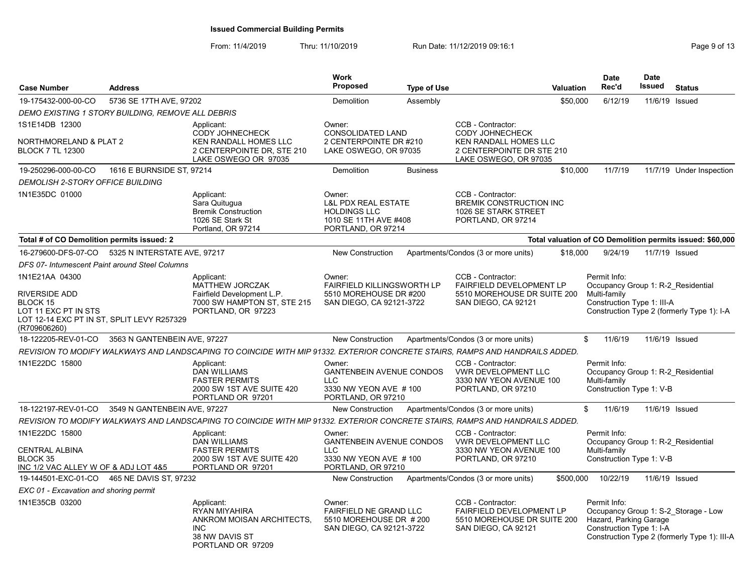| <b>Case Number</b>                                                                                                                       | <b>Address</b>               |                                                                                                                              | <b>Work</b><br><b>Proposed</b>                                                                                 | <b>Type of Use</b> |                                                                                                                            | Valuation | <b>Date</b><br>Rec'd                                                                             | <b>Date</b><br>Issued | <b>Status</b>                                                                        |
|------------------------------------------------------------------------------------------------------------------------------------------|------------------------------|------------------------------------------------------------------------------------------------------------------------------|----------------------------------------------------------------------------------------------------------------|--------------------|----------------------------------------------------------------------------------------------------------------------------|-----------|--------------------------------------------------------------------------------------------------|-----------------------|--------------------------------------------------------------------------------------|
| 19-175432-000-00-CO                                                                                                                      | 5736 SE 17TH AVE, 97202      |                                                                                                                              | Demolition                                                                                                     | Assembly           |                                                                                                                            | \$50,000  | 6/12/19                                                                                          | 11/6/19               | Issued                                                                               |
| DEMO EXISTING 1 STORY BUILDING, REMOVE ALL DEBRIS                                                                                        |                              |                                                                                                                              |                                                                                                                |                    |                                                                                                                            |           |                                                                                                  |                       |                                                                                      |
| 1S1E14DB 12300<br>NORTHMORELAND & PLAT 2<br><b>BLOCK 7 TL 12300</b>                                                                      |                              | Applicant:<br><b>CODY JOHNECHECK</b><br>KEN RANDALL HOMES LLC<br>2 CENTERPOINTE DR, STE 210<br>LAKE OSWEGO OR 97035          | Owner:<br><b>CONSOLIDATED LAND</b><br>2 CENTERPOINTE DR #210<br>LAKE OSWEGO, OR 97035                          |                    | CCB - Contractor:<br><b>CODY JOHNECHECK</b><br>KEN RANDALL HOMES LLC<br>2 CENTERPOINTE DR STE 210<br>LAKE OSWEGO, OR 97035 |           |                                                                                                  |                       |                                                                                      |
| 19-250296-000-00-CO                                                                                                                      | 1616 E BURNSIDE ST. 97214    |                                                                                                                              | Demolition                                                                                                     | <b>Business</b>    |                                                                                                                            | \$10,000  | 11/7/19                                                                                          |                       | 11/7/19 Under Inspection                                                             |
| DEMOLISH 2-STORY OFFICE BUILDING                                                                                                         |                              |                                                                                                                              |                                                                                                                |                    |                                                                                                                            |           |                                                                                                  |                       |                                                                                      |
| 1N1E35DC 01000                                                                                                                           |                              | Applicant:<br>Sara Quitugua<br><b>Bremik Construction</b><br>1026 SE Stark St<br>Portland, OR 97214                          | Owner:<br><b>L&amp;L PDX REAL ESTATE</b><br><b>HOLDINGS LLC</b><br>1010 SE 11TH AVE #408<br>PORTLAND, OR 97214 |                    | CCB - Contractor:<br><b>BREMIK CONSTRUCTION INC</b><br>1026 SE STARK STREET<br>PORTLAND, OR 97214                          |           |                                                                                                  |                       |                                                                                      |
| Total # of CO Demolition permits issued: 2                                                                                               |                              |                                                                                                                              |                                                                                                                |                    |                                                                                                                            |           |                                                                                                  |                       | Total valuation of CO Demolition permits issued: \$60,000                            |
| 16-279600-DFS-07-CO                                                                                                                      | 5325 N INTERSTATE AVE, 97217 |                                                                                                                              | <b>New Construction</b>                                                                                        |                    | Apartments/Condos (3 or more units)                                                                                        | \$18,000  | 9/24/19                                                                                          | 11/7/19 Issued        |                                                                                      |
| DFS 07- Intumescent Paint around Steel Columns                                                                                           |                              |                                                                                                                              |                                                                                                                |                    |                                                                                                                            |           |                                                                                                  |                       |                                                                                      |
| 1N1E21AA 04300<br><b>RIVERSIDE ADD</b><br>BLOCK 15<br>LOT 11 EXC PT IN STS<br>LOT 12-14 EXC PT IN ST, SPLIT LEVY R257329<br>(R709606260) |                              | Applicant:<br><b>MATTHEW JORCZAK</b><br>Fairfield Development L.P.<br>7000 SW HAMPTON ST. STE 215<br>PORTLAND, OR 97223      | Owner:<br><b>FAIRFIELD KILLINGSWORTH LP</b><br>5510 MOREHOUSE DR #200<br>SAN DIEGO, CA 92121-3722              |                    | CCB - Contractor:<br>FAIRFIELD DEVELOPMENT LP<br>5510 MOREHOUSE DR SUITE 200<br>SAN DIEGO, CA 92121                        |           | Permit Info:<br>Occupancy Group 1: R-2 Residential<br>Multi-family<br>Construction Type 1: III-A |                       | Construction Type 2 (formerly Type 1): I-A                                           |
| 18-122205-REV-01-CO                                                                                                                      | 3563 N GANTENBEIN AVE, 97227 |                                                                                                                              | <b>New Construction</b>                                                                                        |                    | Apartments/Condos (3 or more units)                                                                                        |           | \$<br>11/6/19                                                                                    | 11/6/19 Issued        |                                                                                      |
|                                                                                                                                          |                              | REVISION TO MODIFY WALKWAYS AND LANDSCAPING TO COINCIDE WITH MIP 91332. EXTERIOR CONCRETE STAIRS. RAMPS AND HANDRAILS ADDED. |                                                                                                                |                    |                                                                                                                            |           |                                                                                                  |                       |                                                                                      |
| 1N1E22DC 15800                                                                                                                           |                              | Applicant:<br><b>DAN WILLIAMS</b><br><b>FASTER PERMITS</b><br>2000 SW 1ST AVE SUITE 420<br>PORTLAND OR 97201                 | Owner:<br><b>GANTENBEIN AVENUE CONDOS</b><br><b>LLC</b><br>3330 NW YEON AVE #100<br>PORTLAND, OR 97210         |                    | CCB - Contractor:<br>VWR DEVELOPMENT LLC<br>3330 NW YEON AVENUE 100<br>PORTLAND, OR 97210                                  |           | Permit Info:<br>Occupancy Group 1: R-2 Residential<br>Multi-family<br>Construction Type 1: V-B   |                       |                                                                                      |
| 18-122197-REV-01-CO                                                                                                                      | 3549 N GANTENBEIN AVE, 97227 |                                                                                                                              | <b>New Construction</b>                                                                                        |                    | Apartments/Condos (3 or more units)                                                                                        |           | $\mathbb{S}$<br>11/6/19                                                                          | 11/6/19 Issued        |                                                                                      |
|                                                                                                                                          |                              | REVISION TO MODIFY WALKWAYS AND LANDSCAPING TO COINCIDE WITH MIP 91332. EXTERIOR CONCRETE STAIRS, RAMPS AND HANDRAILS ADDED. |                                                                                                                |                    |                                                                                                                            |           |                                                                                                  |                       |                                                                                      |
| 1N1E22DC 15800<br><b>CENTRAL ALBINA</b><br><b>BLOCK 35</b><br>INC 1/2 VAC ALLEY W OF & ADJ LOT 4&5                                       |                              | Applicant:<br><b>DAN WILLIAMS</b><br><b>FASTER PERMITS</b><br>2000 SW 1ST AVE SUITE 420<br>PORTLAND OR 97201                 | Owner:<br><b>GANTENBEIN AVENUE CONDOS</b><br><b>LLC</b><br>3330 NW YEON AVE #100<br>PORTLAND, OR 97210         |                    | CCB - Contractor:<br>VWR DEVELOPMENT LLC<br>3330 NW YEON AVENUE 100<br>PORTLAND, OR 97210                                  |           | Permit Info:<br>Occupancy Group 1: R-2 Residential<br>Multi-family<br>Construction Type 1: V-B   |                       |                                                                                      |
| 19-144501-EXC-01-CO                                                                                                                      | 465 NE DAVIS ST. 97232       |                                                                                                                              | New Construction                                                                                               |                    | Apartments/Condos (3 or more units)                                                                                        | \$500,000 | 10/22/19                                                                                         | 11/6/19 Issued        |                                                                                      |
| EXC 01 - Excavation and shoring permit                                                                                                   |                              |                                                                                                                              |                                                                                                                |                    |                                                                                                                            |           |                                                                                                  |                       |                                                                                      |
| 1N1E35CB 03200                                                                                                                           |                              | Applicant:<br>RYAN MIYAHIRA<br>ANKROM MOISAN ARCHITECTS,<br>INC.<br>38 NW DAVIS ST<br>PORTLAND OR 97209                      | Owner:<br>FAIRFIELD NE GRAND LLC<br>5510 MOREHOUSE DR # 200<br>SAN DIEGO, CA 92121-3722                        |                    | CCB - Contractor:<br>FAIRFIELD DEVELOPMENT LP<br>5510 MOREHOUSE DR SUITE 200<br>SAN DIEGO, CA 92121                        |           | Permit Info:<br>Hazard, Parking Garage<br>Construction Type 1: I-A                               |                       | Occupancy Group 1: S-2 Storage - Low<br>Construction Type 2 (formerly Type 1): III-A |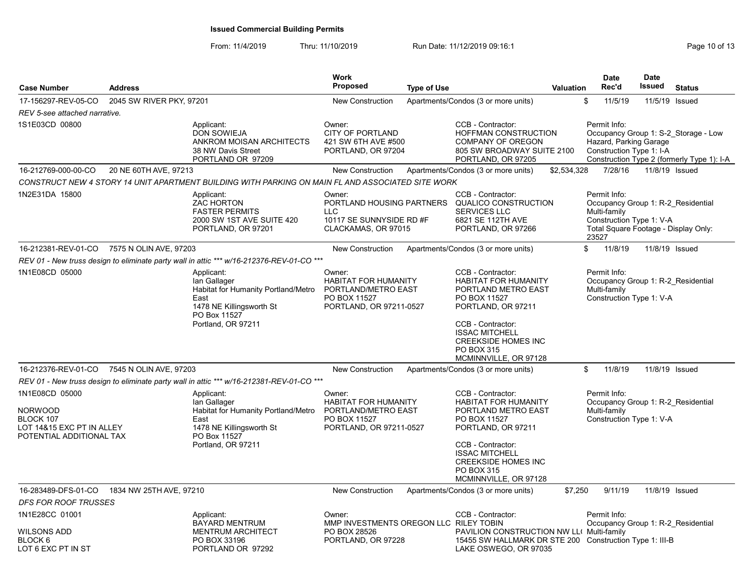| <b>Case Number</b>                                                                                     | <b>Address</b>           |                                                                                                                                             | <b>Work</b><br><b>Proposed</b>                                                                          | <b>Type of Use</b> |                                                                                                                                                                                                                                  | <b>Valuation</b> | <b>Date</b><br>Rec'd                                                                                                                            | <b>Date</b><br><b>Issued</b> | <b>Status</b>                                                                      |
|--------------------------------------------------------------------------------------------------------|--------------------------|---------------------------------------------------------------------------------------------------------------------------------------------|---------------------------------------------------------------------------------------------------------|--------------------|----------------------------------------------------------------------------------------------------------------------------------------------------------------------------------------------------------------------------------|------------------|-------------------------------------------------------------------------------------------------------------------------------------------------|------------------------------|------------------------------------------------------------------------------------|
| 17-156297-REV-05-CO                                                                                    | 2045 SW RIVER PKY, 97201 |                                                                                                                                             | <b>New Construction</b>                                                                                 |                    | Apartments/Condos (3 or more units)                                                                                                                                                                                              | \$               | 11/5/19                                                                                                                                         |                              | 11/5/19 Issued                                                                     |
| REV 5-see attached narrative.                                                                          |                          |                                                                                                                                             |                                                                                                         |                    |                                                                                                                                                                                                                                  |                  |                                                                                                                                                 |                              |                                                                                    |
| 1S1E03CD 00800                                                                                         |                          | Applicant:<br><b>DON SOWIEJA</b><br>ANKROM MOISAN ARCHITECTS<br>38 NW Davis Street<br>PORTLAND OR 97209                                     | Owner:<br><b>CITY OF PORTLAND</b><br>421 SW 6TH AVE #500<br>PORTLAND, OR 97204                          |                    | CCB - Contractor:<br><b>HOFFMAN CONSTRUCTION</b><br><b>COMPANY OF OREGON</b><br>805 SW BROADWAY SUITE 2100<br>PORTLAND, OR 97205                                                                                                 |                  | Permit Info:<br>Hazard, Parking Garage<br>Construction Type 1: I-A                                                                              |                              | Occupancy Group 1: S-2 Storage - Low<br>Construction Type 2 (formerly Type 1): I-A |
| 16-212769-000-00-CO                                                                                    | 20 NE 60TH AVE, 97213    |                                                                                                                                             | <b>New Construction</b>                                                                                 |                    | Apartments/Condos (3 or more units)                                                                                                                                                                                              | \$2,534,328      | 7/28/16                                                                                                                                         |                              | 11/8/19 Issued                                                                     |
|                                                                                                        |                          | CONSTRUCT NEW 4 STORY 14 UNIT APARTMENT BUILDING WITH PARKING ON MAIN FL AND ASSOCIATED SITE WORK                                           |                                                                                                         |                    |                                                                                                                                                                                                                                  |                  |                                                                                                                                                 |                              |                                                                                    |
| 1N2E31DA 15800                                                                                         |                          | Applicant:<br><b>ZAC HORTON</b><br><b>FASTER PERMITS</b><br>2000 SW 1ST AVE SUITE 420<br>PORTLAND, OR 97201                                 | Owner:<br><b>LLC</b><br>10117 SE SUNNYSIDE RD #F<br>CLACKAMAS, OR 97015                                 |                    | CCB - Contractor:<br>PORTLAND HOUSING PARTNERS QUALICO CONSTRUCTION<br><b>SERVICES LLC</b><br>6821 SE 112TH AVE<br>PORTLAND, OR 97266                                                                                            |                  | Permit Info:<br>Occupancy Group 1: R-2 Residential<br>Multi-family<br>Construction Type 1: V-A<br>Total Square Footage - Display Only:<br>23527 |                              |                                                                                    |
| 16-212381-REV-01-CO                                                                                    | 7575 N OLIN AVE, 97203   |                                                                                                                                             | <b>New Construction</b>                                                                                 |                    | Apartments/Condos (3 or more units)                                                                                                                                                                                              | $\mathbb{S}$     | 11/8/19                                                                                                                                         |                              | 11/8/19 Issued                                                                     |
|                                                                                                        |                          | REV 01 - New truss design to eliminate party wall in attic *** w/16-212376-REV-01-CO ***                                                    |                                                                                                         |                    |                                                                                                                                                                                                                                  |                  |                                                                                                                                                 |                              |                                                                                    |
| 1N1E08CD 05000                                                                                         |                          | Applicant:<br>lan Gallager<br>Habitat for Humanity Portland/Metro<br>East<br>1478 NE Killingsworth St<br>PO Box 11527<br>Portland, OR 97211 | Owner:<br><b>HABITAT FOR HUMANITY</b><br>PORTLAND/METRO EAST<br>PO BOX 11527<br>PORTLAND, OR 97211-0527 |                    | CCB - Contractor:<br><b>HABITAT FOR HUMANITY</b><br>PORTLAND METRO EAST<br>PO BOX 11527<br>PORTLAND, OR 97211<br>CCB - Contractor:<br><b>ISSAC MITCHELL</b><br><b>CREEKSIDE HOMES INC</b><br>PO BOX 315<br>MCMINNVILLE, OR 97128 |                  | Permit Info:<br>Occupancy Group 1: R-2 Residential<br>Multi-family<br>Construction Type 1: V-A                                                  |                              |                                                                                    |
| 16-212376-REV-01-CO                                                                                    | 7545 N OLIN AVE, 97203   |                                                                                                                                             | <b>New Construction</b>                                                                                 |                    | Apartments/Condos (3 or more units)                                                                                                                                                                                              | \$               | 11/8/19                                                                                                                                         |                              | 11/8/19 Issued                                                                     |
|                                                                                                        |                          | REV 01 - New truss design to eliminate party wall in attic *** w/16-212381-REV-01-CO ***                                                    |                                                                                                         |                    |                                                                                                                                                                                                                                  |                  |                                                                                                                                                 |                              |                                                                                    |
| 1N1E08CD 05000<br><b>NORWOOD</b><br>BLOCK 107<br>LOT 14&15 EXC PT IN ALLEY<br>POTENTIAL ADDITIONAL TAX |                          | Applicant:<br>lan Gallager<br>Habitat for Humanity Portland/Metro<br>East<br>1478 NE Killingsworth St<br>PO Box 11527<br>Portland, OR 97211 | Owner:<br><b>HABITAT FOR HUMANITY</b><br>PORTLAND/METRO EAST<br>PO BOX 11527<br>PORTLAND, OR 97211-0527 |                    | CCB - Contractor:<br>HABITAT FOR HUMANITY<br>PORTLAND METRO EAST<br>PO BOX 11527<br>PORTLAND, OR 97211<br>CCB - Contractor:<br><b>ISSAC MITCHELL</b><br><b>CREEKSIDE HOMES INC</b><br>PO BOX 315<br>MCMINNVILLE, OR 97128        |                  | Permit Info:<br>Occupancy Group 1: R-2 Residential<br>Multi-family<br>Construction Type 1: V-A                                                  |                              |                                                                                    |
| 16-283489-DFS-01-CO                                                                                    | 1834 NW 25TH AVE, 97210  |                                                                                                                                             | <b>New Construction</b>                                                                                 |                    | Apartments/Condos (3 or more units)                                                                                                                                                                                              | \$7,250          | 9/11/19                                                                                                                                         |                              | 11/8/19 Issued                                                                     |
| DFS FOR ROOF TRUSSES                                                                                   |                          |                                                                                                                                             |                                                                                                         |                    |                                                                                                                                                                                                                                  |                  |                                                                                                                                                 |                              |                                                                                    |
| 1N1E28CC 01001<br>WILSONS ADD<br>BLOCK 6<br>LOT 6 EXC PT IN ST                                         |                          | Applicant:<br><b>BAYARD MENTRUM</b><br><b>MENTRUM ARCHITECT</b><br>PO BOX 33196<br>PORTLAND OR 97292                                        | Owner:<br>MMP INVESTMENTS OREGON LLC RILEY TOBIN<br>PO BOX 28526<br>PORTLAND, OR 97228                  |                    | CCB - Contractor:<br>PAVILION CONSTRUCTION NW LL( Multi-family<br>15455 SW HALLMARK DR STE 200 Construction Type 1: III-B<br>LAKE OSWEGO, OR 97035                                                                               |                  | Permit Info:<br>Occupancy Group 1: R-2 Residential                                                                                              |                              |                                                                                    |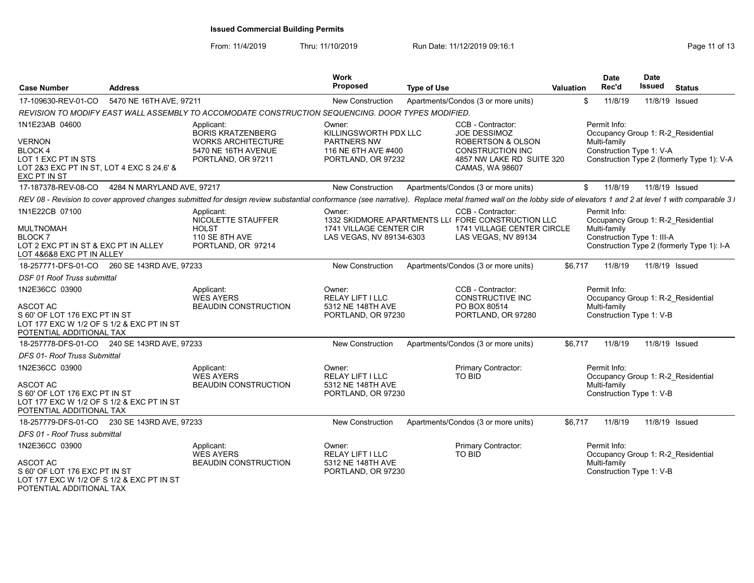From: 11/4/2019 Thru: 11/10/2019 Run Date: 11/12/2019 09:16:1

| <b>Case Number</b>                                                                                                                          | <b>Address</b>             |                                                                                                                  | <b>Work</b><br>Proposed                                                                            | <b>Type of Use</b>                                                                                                                                                                                               | <b>Valuation</b> | <b>Date</b><br>Rec'd                                       | <b>Date</b><br>Issued                                          | <b>Status</b>                                                                    |
|---------------------------------------------------------------------------------------------------------------------------------------------|----------------------------|------------------------------------------------------------------------------------------------------------------|----------------------------------------------------------------------------------------------------|------------------------------------------------------------------------------------------------------------------------------------------------------------------------------------------------------------------|------------------|------------------------------------------------------------|----------------------------------------------------------------|----------------------------------------------------------------------------------|
| 17-109630-REV-01-CO                                                                                                                         | 5470 NE 16TH AVE, 97211    |                                                                                                                  | <b>New Construction</b>                                                                            | Apartments/Condos (3 or more units)                                                                                                                                                                              |                  | \$<br>11/8/19                                              | 11/8/19 Issued                                                 |                                                                                  |
|                                                                                                                                             |                            | REVISION TO MODIFY EAST WALL ASSEMBLY TO ACCOMODATE CONSTRUCTION SEQUENCING. DOOR TYPES MODIFIED.                |                                                                                                    |                                                                                                                                                                                                                  |                  |                                                            |                                                                |                                                                                  |
| 1N1E23AB 04600<br><b>VERNON</b><br><b>BLOCK 4</b><br>LOT 1 EXC PT IN STS<br>LOT 2&3 EXC PT IN ST, LOT 4 EXC S 24.6' &                       |                            | Applicant:<br><b>BORIS KRATZENBERG</b><br><b>WORKS ARCHITECTURE</b><br>5470 NE 16TH AVENUE<br>PORTLAND, OR 97211 | Owner:<br>KILLINGSWORTH PDX LLC<br><b>PARTNERS NW</b><br>116 NE 6TH AVE #400<br>PORTLAND, OR 97232 | CCB - Contractor:<br><b>JOE DESSIMOZ</b><br><b>ROBERTSON &amp; OLSON</b><br><b>CONSTRUCTION INC</b><br>4857 NW LAKE RD SUITE 320<br>CAMAS, WA 98607                                                              |                  | Permit Info:<br>Multi-family<br>Construction Type 1: V-A   |                                                                | Occupancy Group 1: R-2 Residential<br>Construction Type 2 (formerly Type 1): V-A |
| EXC PT IN ST                                                                                                                                |                            |                                                                                                                  |                                                                                                    |                                                                                                                                                                                                                  |                  |                                                            |                                                                |                                                                                  |
| 17-187378-REV-08-CO                                                                                                                         | 4284 N MARYLAND AVE, 97217 |                                                                                                                  | <b>New Construction</b>                                                                            | Apartments/Condos (3 or more units)                                                                                                                                                                              |                  | \$<br>11/8/19                                              | 11/8/19 Issued                                                 |                                                                                  |
|                                                                                                                                             |                            |                                                                                                                  |                                                                                                    | REV 08 - Revision to cover approved changes submitted for design review substantial conformance (see narrative). Replace metal framed wall on the lobby side of elevators 1 and 2 at level 1 with comparable 3 l |                  |                                                            |                                                                |                                                                                  |
| 1N1E22CB 07100<br><b>MULTNOMAH</b><br><b>BLOCK7</b><br>LOT 2 EXC PT IN ST & EXC PT IN ALLEY<br>LOT 4&6&8 EXC PT IN ALLEY                    |                            | Applicant:<br>NICOLETTE STAUFFER<br><b>HOLST</b><br>110 SE 8TH AVE<br>PORTLAND, OR 97214                         | Owner:<br>1741 VILLAGE CENTER CIR<br>LAS VEGAS, NV 89134-6303                                      | CCB - Contractor:<br>1332 SKIDMORE APARTMENTS LLI FORE CONSTRUCTION LLC<br>1741 VILLAGE CENTER CIRCLE<br>LAS VEGAS, NV 89134                                                                                     |                  | Permit Info:<br>Multi-family<br>Construction Type 1: III-A |                                                                | Occupancy Group 1: R-2 Residential<br>Construction Type 2 (formerly Type 1): I-A |
| 18-257771-DFS-01-CO 260 SE 143RD AVE, 97233                                                                                                 |                            |                                                                                                                  | New Construction                                                                                   | Apartments/Condos (3 or more units)                                                                                                                                                                              | \$6,717          | 11/8/19                                                    | 11/8/19 Issued                                                 |                                                                                  |
| DSF 01 Roof Truss submittal                                                                                                                 |                            |                                                                                                                  |                                                                                                    |                                                                                                                                                                                                                  |                  |                                                            |                                                                |                                                                                  |
| 1N2E36CC 03900<br><b>ASCOT AC</b><br>S 60' OF LOT 176 EXC PT IN ST<br>LOT 177 EXC W 1/2 OF S 1/2 & EXC PT IN ST<br>POTENTIAL ADDITIONAL TAX |                            | Applicant:<br><b>WES AYERS</b><br><b>BEAUDIN CONSTRUCTION</b>                                                    | Owner:<br><b>RELAY LIFT I LLC</b><br>5312 NE 148TH AVE<br>PORTLAND, OR 97230                       | CCB - Contractor:<br>CONSTRUCTIVE INC<br>PO BOX 80514<br>PORTLAND, OR 97280                                                                                                                                      |                  | Permit Info:<br>Multi-family                               | Occupancy Group 1: R-2 Residential<br>Construction Type 1: V-B |                                                                                  |
| 18-257778-DFS-01-CO 240 SE 143RD AVE, 97233                                                                                                 |                            |                                                                                                                  | New Construction                                                                                   | Apartments/Condos (3 or more units)                                                                                                                                                                              | \$6,717          | 11/8/19                                                    | 11/8/19 Issued                                                 |                                                                                  |
| DFS 01- Roof Truss Submittal                                                                                                                |                            |                                                                                                                  |                                                                                                    |                                                                                                                                                                                                                  |                  |                                                            |                                                                |                                                                                  |
| 1N2E36CC 03900<br><b>ASCOT AC</b><br>S 60' OF LOT 176 EXC PT IN ST<br>LOT 177 EXC W 1/2 OF S 1/2 & EXC PT IN ST<br>POTENTIAL ADDITIONAL TAX |                            | Applicant:<br><b>WES AYERS</b><br><b>BEAUDIN CONSTRUCTION</b>                                                    | Owner:<br><b>RELAY LIFT I LLC</b><br>5312 NE 148TH AVE<br>PORTLAND, OR 97230                       | Primary Contractor:<br><b>TO BID</b>                                                                                                                                                                             |                  | Permit Info:<br>Multi-family                               | Occupancy Group 1: R-2_Residential<br>Construction Type 1: V-B |                                                                                  |
| 18-257779-DFS-01-CO 230 SE 143RD AVE, 97233                                                                                                 |                            |                                                                                                                  | <b>New Construction</b>                                                                            | Apartments/Condos (3 or more units)                                                                                                                                                                              | \$6.717          | 11/8/19                                                    | 11/8/19 Issued                                                 |                                                                                  |
| DFS 01 - Roof Truss submittal                                                                                                               |                            |                                                                                                                  |                                                                                                    |                                                                                                                                                                                                                  |                  |                                                            |                                                                |                                                                                  |
| 1N2E36CC 03900                                                                                                                              |                            | Applicant:<br><b>WES AYERS</b>                                                                                   | Owner:<br><b>RELAY LIFT I LLC</b>                                                                  | Primary Contractor:<br>TO BID                                                                                                                                                                                    |                  | Permit Info:                                               | Occupancy Group 1: R-2_Residential                             |                                                                                  |
| <b>ASCOT AC</b><br>S 60' OF LOT 176 EXC PT IN ST<br>LOT 177 EXC W 1/2 OF S 1/2 & EXC PT IN ST                                               |                            | <b>BEAUDIN CONSTRUCTION</b>                                                                                      | 5312 NE 148TH AVE<br>PORTLAND, OR 97230                                                            |                                                                                                                                                                                                                  |                  | Multi-family                                               | Construction Type 1: V-B                                       |                                                                                  |

POTENTIAL ADDITIONAL TAX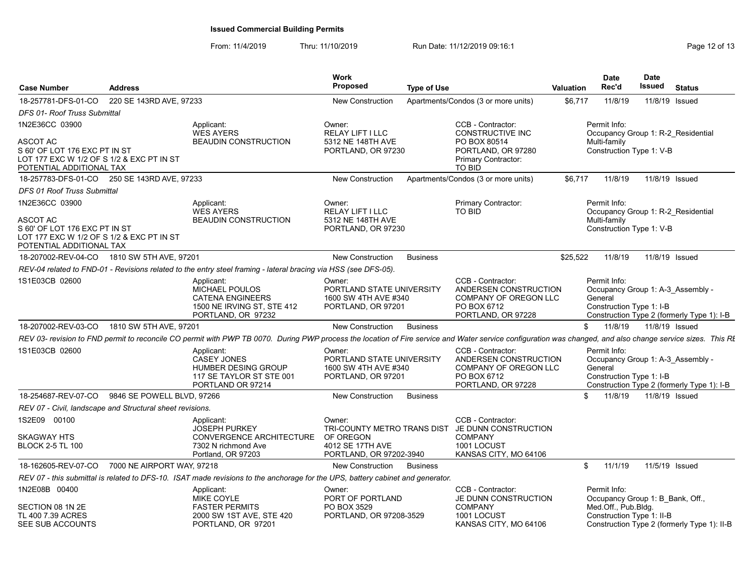| <b>Case Number</b>                                                                                                                   | <b>Address</b>             |                                                                                                                                                                                                             | <b>Work</b><br><b>Proposed</b>                                                    | <b>Type of Use</b> |                                                                                                                                 | Valuation | <b>Date</b><br>Rec'd                                                                           | Date<br>Issued | <b>Status</b>                               |
|--------------------------------------------------------------------------------------------------------------------------------------|----------------------------|-------------------------------------------------------------------------------------------------------------------------------------------------------------------------------------------------------------|-----------------------------------------------------------------------------------|--------------------|---------------------------------------------------------------------------------------------------------------------------------|-----------|------------------------------------------------------------------------------------------------|----------------|---------------------------------------------|
| 18-257781-DFS-01-CO                                                                                                                  | 220 SE 143RD AVE, 97233    |                                                                                                                                                                                                             | <b>New Construction</b>                                                           |                    | Apartments/Condos (3 or more units)                                                                                             | \$6,717   | 11/8/19                                                                                        |                | 11/8/19 Issued                              |
| DFS 01- Roof Truss Submittal                                                                                                         |                            |                                                                                                                                                                                                             |                                                                                   |                    |                                                                                                                                 |           |                                                                                                |                |                                             |
| 1N2E36CC 03900<br>ASCOT AC<br>S 60' OF LOT 176 EXC PT IN ST<br>LOT 177 EXC W 1/2 OF S 1/2 & EXC PT IN ST<br>POTENTIAL ADDITIONAL TAX |                            | Applicant:<br><b>WES AYERS</b><br><b>BEAUDIN CONSTRUCTION</b>                                                                                                                                               | Owner:<br>RELAY LIFT I LLC<br>5312 NE 148TH AVE<br>PORTLAND, OR 97230             |                    | CCB - Contractor:<br>CONSTRUCTIVE INC<br>PO BOX 80514<br>PORTLAND, OR 97280<br>Primary Contractor:<br><b>TO BID</b>             |           | Permit Info:<br>Occupancy Group 1: R-2 Residential<br>Multi-family<br>Construction Type 1: V-B |                |                                             |
| 18-257783-DFS-01-CO 250 SE 143RD AVE, 97233                                                                                          |                            |                                                                                                                                                                                                             | New Construction                                                                  |                    | Apartments/Condos (3 or more units)                                                                                             | \$6,717   | 11/8/19                                                                                        | 11/8/19 Issued |                                             |
| DFS 01 Roof Truss Submittal                                                                                                          |                            |                                                                                                                                                                                                             |                                                                                   |                    |                                                                                                                                 |           |                                                                                                |                |                                             |
| 1N2E36CC 03900<br>ASCOT AC<br>S 60' OF LOT 176 EXC PT IN ST<br>LOT 177 EXC W 1/2 OF S 1/2 & EXC PT IN ST<br>POTENTIAL ADDITIONAL TAX |                            | Applicant:<br><b>WES AYERS</b><br><b>BEAUDIN CONSTRUCTION</b>                                                                                                                                               | Owner:<br><b>RELAY LIFT I LLC</b><br>5312 NE 148TH AVE<br>PORTLAND, OR 97230      |                    | Primary Contractor:<br><b>TO BID</b>                                                                                            |           | Permit Info:<br>Occupancy Group 1: R-2 Residential<br>Multi-family<br>Construction Type 1: V-B |                |                                             |
| 18-207002-REV-04-CO                                                                                                                  | 1810 SW 5TH AVE, 97201     |                                                                                                                                                                                                             | <b>New Construction</b>                                                           | <b>Business</b>    |                                                                                                                                 | \$25,522  | 11/8/19                                                                                        | 11/8/19 Issued |                                             |
|                                                                                                                                      |                            | REV-04 related to FND-01 - Revisions related to the entry steel framing - lateral bracing via HSS (see DFS-05).                                                                                             |                                                                                   |                    |                                                                                                                                 |           |                                                                                                |                |                                             |
| 1S1E03CB 02600                                                                                                                       |                            | Applicant:<br>MICHAEL POULOS<br><b>CATENA ENGINEERS</b><br>1500 NE IRVING ST, STE 412<br>PORTLAND, OR 97232                                                                                                 | Owner:<br>PORTLAND STATE UNIVERSITY<br>1600 SW 4TH AVE #340<br>PORTLAND, OR 97201 |                    | CCB - Contractor:<br>ANDERSEN CONSTRUCTION<br>COMPANY OF OREGON LLC<br>PO BOX 6712<br>PORTLAND, OR 97228                        |           | Permit Info:<br>Occupancy Group 1: A-3 Assembly -<br>General<br>Construction Type 1: I-B       |                | Construction Type 2 (formerly Type 1): I-B  |
| 18-207002-REV-03-CO                                                                                                                  | 1810 SW 5TH AVE, 97201     |                                                                                                                                                                                                             | New Construction                                                                  | <b>Business</b>    |                                                                                                                                 | \$        | 11/8/19                                                                                        | 11/8/19 Issued |                                             |
|                                                                                                                                      |                            | REV 03- revision to FND permit to reconcile CO permit with PWP TB 0070. During PWP process the location of Fire service and Water service configuration was changed, and also change service sizes. This RI |                                                                                   |                    |                                                                                                                                 |           |                                                                                                |                |                                             |
| 1S1E03CB 02600                                                                                                                       |                            | Applicant:<br><b>CASEY JONES</b><br>HUMBER DESING GROUP<br>117 SE TAYLOR ST STE 001<br>PORTLAND OR 97214                                                                                                    | Owner:<br>PORTLAND STATE UNIVERSITY<br>1600 SW 4TH AVE #340<br>PORTLAND, OR 97201 |                    | CCB - Contractor:<br>ANDERSEN CONSTRUCTION<br>COMPANY OF OREGON LLC<br>PO BOX 6712<br>PORTLAND, OR 97228                        |           | Permit Info:<br>Occupancy Group 1: A-3 Assembly -<br>General<br>Construction Type 1: I-B       |                | Construction Type 2 (formerly Type 1): I-B  |
| 18-254687-REV-07-CO                                                                                                                  | 9846 SE POWELL BLVD, 97266 |                                                                                                                                                                                                             | New Construction                                                                  | <b>Business</b>    |                                                                                                                                 |           | 11/8/19                                                                                        | 11/8/19 Issued |                                             |
| REV 07 - Civil, landscape and Structural sheet revisions.                                                                            |                            |                                                                                                                                                                                                             |                                                                                   |                    |                                                                                                                                 |           |                                                                                                |                |                                             |
| 1S2E09 00100<br><b>SKAGWAY HTS</b><br><b>BLOCK 2-5 TL 100</b>                                                                        |                            | Applicant:<br><b>JOSEPH PURKEY</b><br>CONVERGENCE ARCHITECTURE<br>7302 N richmond Ave<br>Portland, OR 97203                                                                                                 | Owner:<br>OF OREGON<br>4012 SE 17TH AVE<br>PORTLAND, OR 97202-3940                |                    | CCB - Contractor:<br>TRI-COUNTY METRO TRANS DIST JE DUNN CONSTRUCTION<br><b>COMPANY</b><br>1001 LOCUST<br>KANSAS CITY, MO 64106 |           |                                                                                                |                |                                             |
| 18-162605-REV-07-CO                                                                                                                  | 7000 NE AIRPORT WAY, 97218 |                                                                                                                                                                                                             | New Construction                                                                  | Business           |                                                                                                                                 | \$        | 11/1/19                                                                                        | 11/5/19 Issued |                                             |
|                                                                                                                                      |                            | REV 07 - this submittal is related to DFS-10. ISAT made revisions to the anchorage for the UPS, battery cabinet and generator.                                                                              |                                                                                   |                    |                                                                                                                                 |           |                                                                                                |                |                                             |
| 1N2E08B 00400                                                                                                                        |                            | Applicant:<br>MIKE COYLE                                                                                                                                                                                    | Owner:<br>PORT OF PORTLAND                                                        |                    | CCB - Contractor:<br>JE DUNN CONSTRUCTION                                                                                       |           | Permit Info:<br>Occupancy Group 1: B Bank, Off.,                                               |                |                                             |
| SECTION 08 1N 2E<br>TL 400 7.39 ACRES<br>SEE SUB ACCOUNTS                                                                            |                            | <b>FASTER PERMITS</b><br>2000 SW 1ST AVE, STE 420<br>PORTLAND, OR 97201                                                                                                                                     | PO BOX 3529<br>PORTLAND, OR 97208-3529                                            |                    | <b>COMPANY</b><br>1001 LOCUST<br>KANSAS CITY, MO 64106                                                                          |           | Med.Off., Pub.Bldg.<br>Construction Type 1: II-B                                               |                | Construction Type 2 (formerly Type 1): II-B |